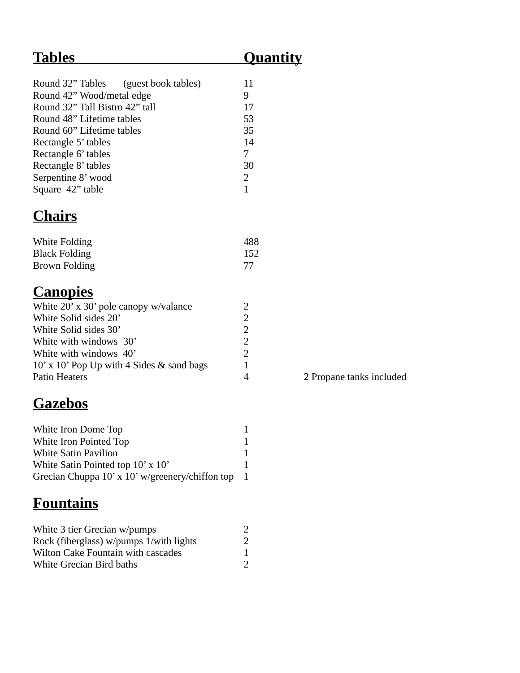### **Tables Quantity**

| Round 32" Tables (guest book tables) | 11 |
|--------------------------------------|----|
| Round 42" Wood/metal edge            | 9  |
| Round 32" Tall Bistro 42" tall       | 17 |
| Round 48" Lifetime tables            | 53 |
| Round 60" Lifetime tables            | 35 |
| Rectangle 5' tables                  | 14 |
| Rectangle 6' tables                  | 7  |
| Rectangle 8' tables                  | 30 |
| Serpentine 8' wood                   | 2  |
| Square 42" table                     |    |

# **Chairs**

| White Folding        | 488 |
|----------------------|-----|
| <b>Black Folding</b> | 152 |
| Brown Folding        |     |

### **Canopies**

| White 20' x 30' pole canopy w/valance     | フ |
|-------------------------------------------|---|
| White Solid sides 20'                     | 2 |
| White Solid sides 30'                     | 2 |
| White with windows 30'                    | 2 |
| White with windows 40'                    | 2 |
| 10' x 10' Pop Up with 4 Sides & sand bags | 1 |
| Patio Heaters                             |   |

#### **Gazebos**

| White Iron Dome Top                                 |             |
|-----------------------------------------------------|-------------|
| White Iron Pointed Top                              |             |
| <b>White Satin Pavilion</b>                         | 1           |
| White Satin Pointed top $10' \times 10'$            |             |
| Grecian Chuppa $10'$ x $10'$ w/greenery/chiffon top | $\mathbf 1$ |

# **Fountains**

| White 3 tier Grecian w/pumps              |  |
|-------------------------------------------|--|
| Rock (fiberglass) w/pumps 1/with lights   |  |
| <b>Wilton Cake Fountain with cascades</b> |  |
| <b>White Grecian Bird baths</b>           |  |

4 2 Propane tanks included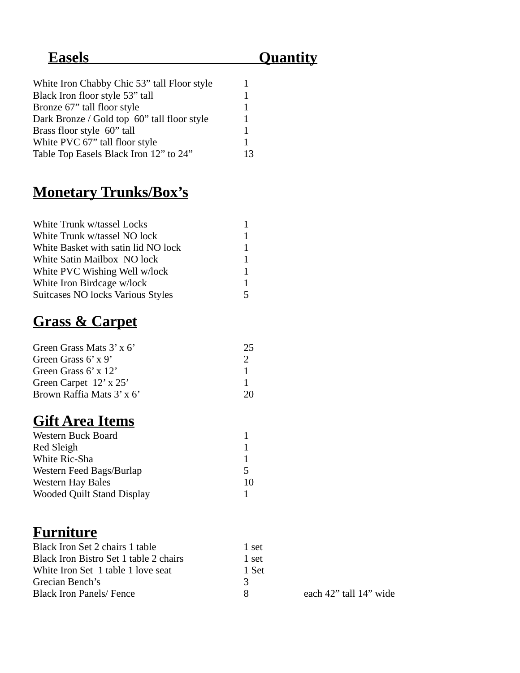### **Easels Quantity**

| White Iron Chabby Chic 53" tall Floor style |    |
|---------------------------------------------|----|
| Black Iron floor style 53" tall             | 1  |
| Bronze 67" tall floor style                 | 1  |
| Dark Bronze / Gold top 60" tall floor style | 1  |
| Brass floor style 60" tall                  | 1  |
| White PVC 67" tall floor style              | 1  |
| Table Top Easels Black Iron 12" to 24"      | 13 |
|                                             |    |

#### **Monetary Trunks/Box's**

| White Trunk w/tassel Locks          | 1 |
|-------------------------------------|---|
| White Trunk w/tassel NO lock        | 1 |
| White Basket with satin lid NO lock | 1 |
| White Satin Mailbox NO lock         | 1 |
| White PVC Wishing Well w/lock       | 1 |
| White Iron Birdcage w/lock          | 1 |
| Suitcases NO locks Various Styles   | 5 |

### **Grass & Carpet**

| Green Grass Mats 3' x 6'  | 25 |  |
|---------------------------|----|--|
| Green Grass 6' x 9'       |    |  |
| Green Grass 6' x 12'      |    |  |
| Green Carpet 12' x 25'    |    |  |
| Brown Raffia Mats 3' x 6' | 20 |  |

### **Gift Area Items**

| <b>Western Buck Board</b>         |    |
|-----------------------------------|----|
| Red Sleigh                        | 1  |
| White Ric-Sha                     | 1  |
| Western Feed Bags/Burlap          | 5  |
| <b>Western Hay Bales</b>          | 10 |
| <b>Wooded Quilt Stand Display</b> |    |

#### **Furniture**

| Black Iron Set 2 chairs 1 table        | 1 set |
|----------------------------------------|-------|
| Black Iron Bistro Set 1 table 2 chairs | 1 set |
| White Iron Set 1 table 1 love seat     | 1 Set |
| Grecian Bench's                        | -3    |
| <b>Black Iron Panels/ Fence</b>        | я     |

each 42" tall 14" wide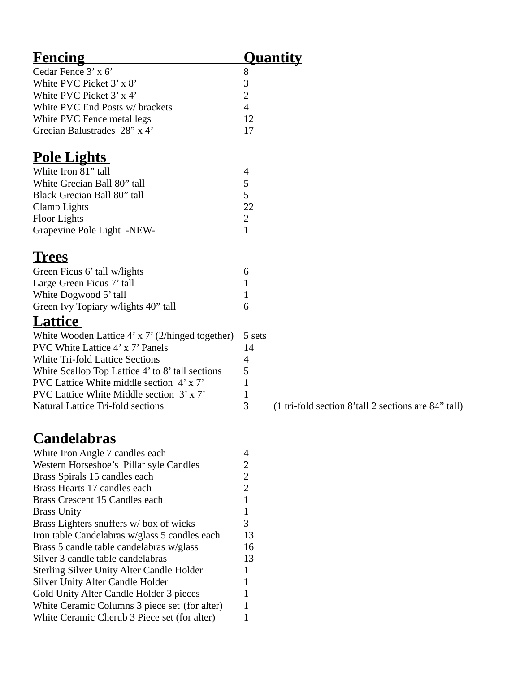| <b>Fencing</b>                                          |                | <u>Quantity</u>   |
|---------------------------------------------------------|----------------|-------------------|
| Cedar Fence 3' x 6'                                     | 8              |                   |
| White PVC Picket 3' x 8'                                | 3              |                   |
| White PVC Picket 3' x 4'                                | 2              |                   |
| White PVC End Posts w/ brackets                         | 4              |                   |
| White PVC Fence metal legs                              | 12             |                   |
| Grecian Balustrades 28" x 4'                            | 17             |                   |
| <u>Pole Lights</u>                                      |                |                   |
| White Iron 81" tall                                     | 4              |                   |
| White Grecian Ball 80" tall                             | 5              |                   |
| Black Grecian Ball 80" tall                             | 5              |                   |
| Clamp Lights                                            | 22             |                   |
| <b>Floor Lights</b>                                     | 2              |                   |
| Grapevine Pole Light -NEW-                              | 1              |                   |
| <u>'I'rees</u>                                          |                |                   |
| Green Ficus 6' tall w/lights                            | 6              |                   |
| Large Green Ficus 7' tall                               | $\mathbf{1}$   |                   |
| White Dogwood 5' tall                                   | $\mathbf{1}$   |                   |
| Green Ivy Topiary w/lights 40" tall                     | 6              |                   |
|                                                         |                |                   |
| <b>Lattice</b>                                          |                |                   |
| White Wooden Lattice $4' \times 7'$ (2/hinged together) | 5 sets         |                   |
| PVC White Lattice 4' x 7' Panels                        | 14             |                   |
| <b>White Tri-fold Lattice Sections</b>                  | 4              |                   |
| White Scallop Top Lattice 4' to 8' tall sections        | 5              |                   |
| PVC Lattice White middle section 4'x7'                  | 1              |                   |
| PVC Lattice White Middle section 3' x 7'                | 1              |                   |
| <b>Natural Lattice Tri-fold sections</b>                | 3              | $(1 \text{tri-f}$ |
| <u>Candelabras</u>                                      |                |                   |
| White Iron Angle 7 candles each                         | 4              |                   |
| Western Horseshoe's Pillar syle Candles                 | 2              |                   |
| Brass Spirals 15 candles each                           | 2              |                   |
| Brass Hearts 17 candles each                            | $\overline{2}$ |                   |
| Brass Crescent 15 Candles each                          | $\mathbf{1}$   |                   |
| <b>Brass Unity</b>                                      | $\mathbf{1}$   |                   |
| Brass Lighters snuffers w/ box of wicks                 | 3              |                   |
| Iron table Candelabras w/glass 5 candles each           | 13             |                   |
| Brass 5 candle table candelabras w/glass                | 16             |                   |
| Silver 3 candle table candelabras                       | 13             |                   |
| <b>Sterling Silver Unity Alter Candle Holder</b>        | 1              |                   |
| <b>Silver Unity Alter Candle Holder</b>                 | 1              |                   |
| Gold Unity Alter Candle Holder 3 pieces                 | $\mathbf{1}$   |                   |
| White Ceramic Columns 3 piece set (for alter)           | 1              |                   |
| White Ceramic Cherub 3 Piece set (for alter)            | 1              |                   |

 $-$ fold section 8'tall 2 sections are 84" tall)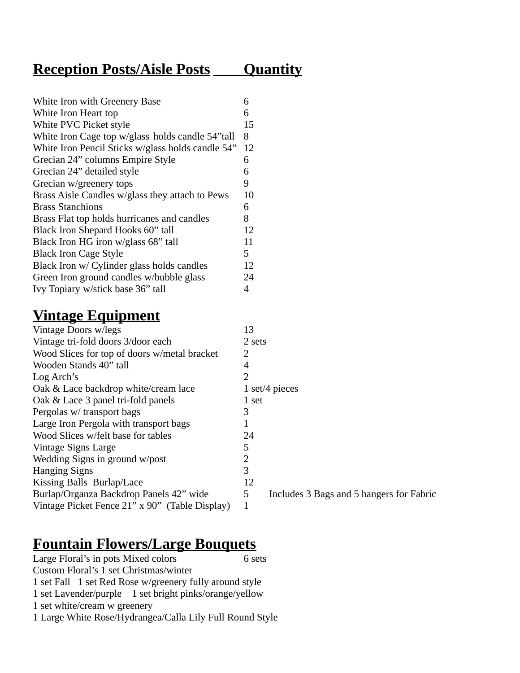#### **Reception Posts/Aisle Posts \_\_\_\_ Quantity**

| White Iron with Greenery Base                     | 6  |
|---------------------------------------------------|----|
| White Iron Heart top                              | 6  |
| White PVC Picket style                            | 15 |
| White Iron Cage top w/glass holds candle 54"tall  | 8  |
| White Iron Pencil Sticks w/glass holds candle 54" | 12 |
| Grecian 24" columns Empire Style                  | 6  |
| Grecian 24" detailed style                        | 6  |
| Grecian w/greenery tops                           | 9  |
| Brass Aisle Candles w/glass they attach to Pews   | 10 |
| <b>Brass Stanchions</b>                           | 6  |
| Brass Flat top holds hurricanes and candles       | 8  |
| Black Iron Shepard Hooks 60" tall                 | 12 |
| Black Iron HG iron w/glass 68" tall               | 11 |
| <b>Black Iron Cage Style</b>                      | 5  |
| Black Iron w/ Cylinder glass holds candles        | 12 |
| Green Iron ground candles w/bubble glass          | 24 |
| Ivy Topiary w/stick base 36" tall                 | 4  |
|                                                   |    |

#### **Vintage Equipment**

| Vintage Doors w/legs                           | 13     |                |
|------------------------------------------------|--------|----------------|
| Vintage tri-fold doors 3/door each             | 2 sets |                |
| Wood Slices for top of doors w/metal bracket   | 2      |                |
| Wooden Stands 40" tall                         | 4      |                |
| Log Arch's                                     | 2      |                |
| Oak & Lace backdrop white/cream lace           |        | 1 set/4 pieces |
| Oak & Lace 3 panel tri-fold panels             | 1 set  |                |
| Pergolas w/ transport bags                     | 3      |                |
| Large Iron Pergola with transport bags         | 1      |                |
| Wood Slices w/felt base for tables             | 24     |                |
| Vintage Signs Large                            | 5      |                |
| Wedding Signs in ground w/post                 | 2      |                |
| <b>Hanging Signs</b>                           | 3      |                |
| Kissing Balls Burlap/Lace                      | 12     |                |
| Burlap/Organza Backdrop Panels 42" wide        | 5      | Include        |
| Vintage Picket Fence 21" x 90" (Table Display) | 1      |                |
|                                                |        |                |

#### **Fountain Flowers/Large Bouquets**

Large Floral's in pots Mixed colors 6 sets Custom Floral's 1 set Christmas/winter 1 set Fall 1 set Red Rose w/greenery fully around style 1 set Lavender/purple 1 set bright pinks/orange/yellow 1 set white/cream w greenery 1 Large White Rose/Hydrangea/Calla Lily Full Round Style

ludes 3 Bags and 5 hangers for Fabric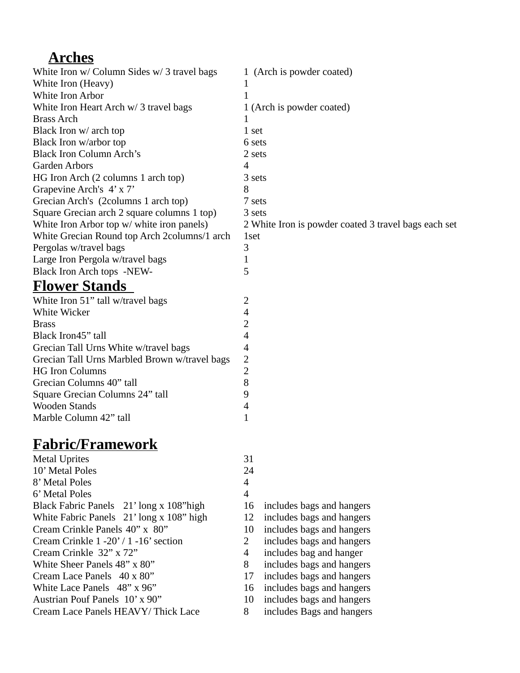#### **Arches**

| White Iron w/ Column Sides w/ 3 travel bags  | 1 (Arch is powder coated)                            |
|----------------------------------------------|------------------------------------------------------|
| White Iron (Heavy)                           | -1                                                   |
| White Iron Arbor                             |                                                      |
| White Iron Heart Arch w/ 3 travel bags       | 1 (Arch is powder coated)                            |
| <b>Brass Arch</b>                            |                                                      |
| Black Iron w/ arch top                       | 1 set                                                |
| Black Iron w/arbor top                       | 6 sets                                               |
| <b>Black Iron Column Arch's</b>              | 2 sets                                               |
| <b>Garden Arbors</b>                         | 4                                                    |
| HG Iron Arch (2 columns 1 arch top)          | 3 sets                                               |
| Grapevine Arch's 4' x 7'                     | 8                                                    |
| Grecian Arch's (2columns 1 arch top)         | 7 sets                                               |
| Square Grecian arch 2 square columns 1 top)  | 3 sets                                               |
| White Iron Arbor top w/ white iron panels)   | 2 White Iron is powder coated 3 travel bags each set |
| White Grecian Round top Arch 2columns/1 arch | 1set                                                 |
| Pergolas w/travel bags                       | З                                                    |
| Large Iron Pergola w/travel bags             |                                                      |
| Black Iron Arch tops -NEW-                   | 5                                                    |
| <b>Flower Stands</b>                         |                                                      |

| White Iron 51" tall w/travel bags             | 2              |
|-----------------------------------------------|----------------|
| White Wicker                                  | 4              |
| <b>Brass</b>                                  | $\overline{2}$ |
| Black Iron45" tall                            | 4              |
| Grecian Tall Urns White w/travel bags         | 4              |
| Grecian Tall Urns Marbled Brown w/travel bags | 2              |
| <b>HG Iron Columns</b>                        | 2              |
| Grecian Columns 40" tall                      | 8              |
| Square Grecian Columns 24" tall               | 9              |
| <b>Wooden Stands</b>                          | 4              |
| Marble Column 42" tall                        |                |

#### **Fabric/Framework**

| <b>Metal Uprites</b>                     | 31             |                           |
|------------------------------------------|----------------|---------------------------|
| 10' Metal Poles                          | 24             |                           |
| 8' Metal Poles                           | $\overline{4}$ |                           |
| 6' Metal Poles                           | 4              |                           |
| Black Fabric Panels 21' long x 108" high | 16             | includes bags and hangers |
| White Fabric Panels 21' long x 108" high | 12             | includes bags and hangers |
| Cream Crinkle Panels 40" x 80"           | 10             | includes bags and hangers |
| Cream Crinkle 1 -20' / 1 -16' section    | 2              | includes bags and hangers |
| Cream Crinkle 32" x 72"                  | 4              | includes bag and hanger   |
| White Sheer Panels 48" x 80"             | 8              | includes bags and hangers |
| Cream Lace Panels 40 x 80"               | 17             | includes bags and hangers |
| White Lace Panels 48" x 96"              | 16             | includes bags and hangers |
| Austrian Pouf Panels 10' x 90"           | 10             | includes bags and hangers |
| Cream Lace Panels HEAVY/Thick Lace       | 8              | includes Bags and hangers |
|                                          |                |                           |

- 
- 
- 10 includes bags and hangers
- 2 includes bags and hangers
	-
- 
- 17 includes bags and hangers
- 16 includes bags and hangers
- $10$  includes bags and hangers
- 8 includes Bags and hangers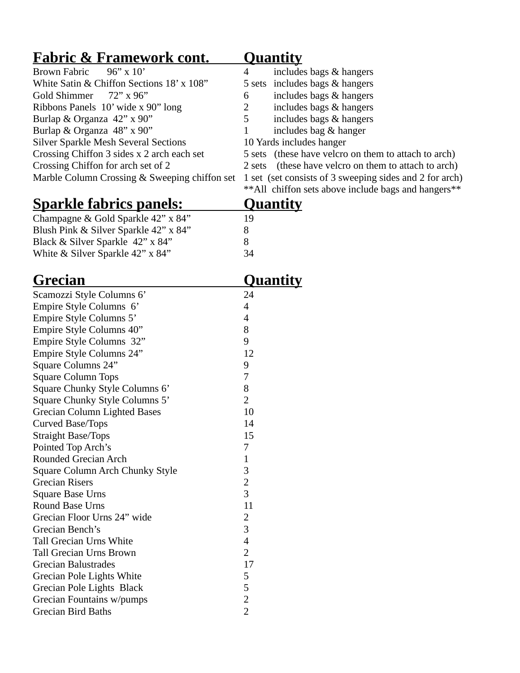| <u> Fabric &amp; Framework cont.</u>          | <u>Quantity</u>                                         |
|-----------------------------------------------|---------------------------------------------------------|
| $96'' \times 10'$<br><b>Brown Fabric</b>      | $\overline{4}$<br>includes bags & hangers               |
| White Satin & Chiffon Sections 18' x 108"     | includes bags & hangers<br>5 sets                       |
| Gold Shimmer<br>72" x 96"                     | includes bags & hangers<br>6                            |
| Ribbons Panels 10' wide x 90" long            | $\overline{2}$<br>includes bags & hangers               |
| Burlap & Organza 42" x 90"                    | 5<br>includes bags & hangers                            |
| Burlap & Organza 48" x 90"                    | includes bag & hanger<br>1                              |
| <b>Silver Sparkle Mesh Several Sections</b>   | 10 Yards includes hanger                                |
| Crossing Chiffon 3 sides x 2 arch each set    | 5 sets (these have velcro on them to attach to arch)    |
| Crossing Chiffon for arch set of 2            | (these have velcro on them to attach to arch)<br>2 sets |
| Marble Column Crossing & Sweeping chiffon set | 1 set (set consists of 3 sweeping sides and 2 for arch) |
|                                               | ** All chiffon sets above include bags and hangers**    |
| <u>Sparkle fabrics panels:</u>                | <u>Quantity</u>                                         |
| Champagne & Gold Sparkle 42" x 84"            | 19                                                      |
| Blush Pink & Silver Sparkle 42" x 84"         | 8                                                       |
| Black & Silver Sparkle 42" x 84"              | 8                                                       |
| White & Silver Sparkle 42" x 84"              | 34                                                      |
|                                               |                                                         |
| <u>Grecian</u>                                | <u>Quantity</u>                                         |
| Scamozzi Style Columns 6'                     | 24                                                      |
| Empire Style Columns 6'                       | $\overline{\mathcal{A}}$                                |
| Empire Style Columns 5'                       | $\overline{4}$                                          |
| Empire Style Columns 40"                      | 8                                                       |
| Empire Style Columns 32"                      | 9                                                       |
| Empire Style Columns 24"                      | 12                                                      |
| Square Columns 24"                            | 9                                                       |
| <b>Square Column Tops</b>                     | 7                                                       |
| Square Chunky Style Columns 6'                | 8                                                       |
| Square Chunky Style Columns 5'                | $\overline{2}$                                          |
| Grecian Column Lighted Bases                  | 10                                                      |
| Curved Base/Tops                              | 14                                                      |
| <b>Straight Base/Tops</b>                     | 15                                                      |
| Pointed Top Arch's                            | 7                                                       |
| Rounded Grecian Arch                          | 1                                                       |
| Square Column Arch Chunky Style               | 3                                                       |
| <b>Grecian Risers</b>                         | 2                                                       |
| <b>Square Base Urns</b>                       | 3                                                       |
| Round Base Urns                               | 11                                                      |
| Grecian Floor Urns 24" wide                   | 2                                                       |
| Grecian Bench's                               | 3                                                       |
| <b>Tall Grecian Urns White</b>                | $\overline{\mathcal{A}}$                                |
| <b>Tall Grecian Urns Brown</b>                | $\overline{2}$                                          |
| <b>Grecian Balustrades</b>                    | 17                                                      |
| Grecian Pole Lights White                     | 5                                                       |
| Grecian Pole Lights Black                     | 5                                                       |
| Grecian Fountains w/pumps                     | 2                                                       |
| <b>Grecian Bird Baths</b>                     | $\overline{2}$                                          |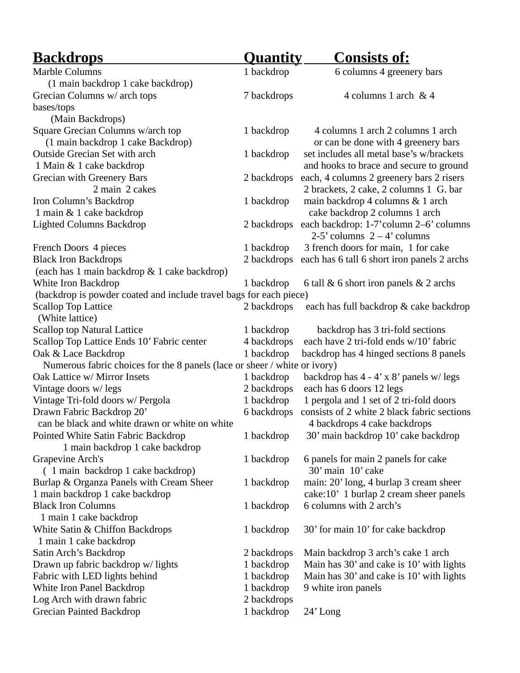| <u>Backdrops</u><br><u>Consists of:</u><br><b>Quantity</b>                                                                  |  |
|-----------------------------------------------------------------------------------------------------------------------------|--|
| Marble Columns<br>1 backdrop<br>6 columns 4 greenery bars                                                                   |  |
| (1 main backdrop 1 cake backdrop)                                                                                           |  |
| Grecian Columns w/ arch tops<br>4 columns 1 arch & 4<br>7 backdrops                                                         |  |
| bases/tops                                                                                                                  |  |
| (Main Backdrops)                                                                                                            |  |
| Square Grecian Columns w/arch top<br>1 backdrop<br>4 columns 1 arch 2 columns 1 arch                                        |  |
| (1 main backdrop 1 cake Backdrop)<br>or can be done with 4 greenery bars                                                    |  |
| Outside Grecian Set with arch<br>set includes all metal base's w/brackets<br>1 backdrop                                     |  |
| 1 Main & 1 cake backdrop<br>and hooks to brace and secure to ground                                                         |  |
| 2 backdrops<br>each, 4 columns 2 greenery bars 2 risers<br><b>Grecian with Greenery Bars</b>                                |  |
| 2 main 2 cakes<br>2 brackets, 2 cake, 2 columns 1 G. bar                                                                    |  |
| Iron Column's Backdrop<br>main backdrop 4 columns & 1 arch<br>1 backdrop                                                    |  |
| 1 main & 1 cake backdrop<br>cake backdrop 2 columns 1 arch                                                                  |  |
| <b>Lighted Columns Backdrop</b><br>each backdrop: 1-7'column 2-6' columns<br>2 backdrops<br>$2-5$ ' columns $2-4$ ' columns |  |
| 3 french doors for main, 1 for cake<br>French Doors 4 pieces<br>1 backdrop                                                  |  |
| <b>Black Iron Backdrops</b><br>2 backdrops<br>each has 6 tall 6 short iron panels 2 archs                                   |  |
| (each has 1 main backdrop & 1 cake backdrop)                                                                                |  |
| White Iron Backdrop<br>1 backdrop<br>6 tall & 6 short iron panels & 2 archs                                                 |  |
| (backdrop is powder coated and include travel bags for each piece)                                                          |  |
| <b>Scallop Top Lattice</b><br>2 backdrops<br>each has full backdrop & cake backdrop<br>(White lattice)                      |  |
| <b>Scallop top Natural Lattice</b><br>backdrop has 3 tri-fold sections<br>1 backdrop                                        |  |
| Scallop Top Lattice Ends 10' Fabric center<br>4 backdrops<br>each have 2 tri-fold ends w/10' fabric                         |  |
| 1 backdrop<br>backdrop has 4 hinged sections 8 panels<br>Oak & Lace Backdrop                                                |  |
| Numerous fabric choices for the 8 panels (lace or sheer / white or ivory)                                                   |  |
| Oak Lattice w/ Mirror Insets<br>1 backdrop<br>backdrop has $4 - 4' \times 8'$ panels w/legs                                 |  |
| 2 backdrops<br>each has 6 doors 12 legs<br>Vintage doors w/ legs                                                            |  |
| Vintage Tri-fold doors w/ Pergola<br>1 backdrop<br>1 pergola and 1 set of 2 tri-fold doors                                  |  |
| Drawn Fabric Backdrop 20'<br>consists of 2 white 2 black fabric sections<br>6 backdrops                                     |  |
| can be black and white drawn or white on white<br>4 backdrops 4 cake backdrops                                              |  |
| Pointed White Satin Fabric Backdrop<br>30' main backdrop 10' cake backdrop<br>1 backdrop                                    |  |
| 1 main backdrop 1 cake backdrop                                                                                             |  |
| Grapevine Arch's<br>6 panels for main 2 panels for cake<br>1 backdrop                                                       |  |
| 30' main 10' cake<br>(1 main backdrop 1 cake backdrop)                                                                      |  |
| main: 20' long, 4 burlap 3 cream sheer<br>Burlap & Organza Panels with Cream Sheer<br>1 backdrop                            |  |
| 1 main backdrop 1 cake backdrop<br>cake:10' 1 burlap 2 cream sheer panels                                                   |  |
| <b>Black Iron Columns</b><br>6 columns with 2 arch's<br>1 backdrop                                                          |  |
| 1 main 1 cake backdrop                                                                                                      |  |
| White Satin & Chiffon Backdrops<br>1 backdrop<br>30' for main 10' for cake backdrop<br>1 main 1 cake backdrop               |  |
| Satin Arch's Backdrop<br>Main backdrop 3 arch's cake 1 arch<br>2 backdrops                                                  |  |
| Drawn up fabric backdrop w/lights<br>Main has 30' and cake is 10' with lights<br>1 backdrop                                 |  |
| Fabric with LED lights behind<br>1 backdrop<br>Main has 30' and cake is 10' with lights                                     |  |
| White Iron Panel Backdrop<br>1 backdrop<br>9 white iron panels                                                              |  |
|                                                                                                                             |  |
| Log Arch with drawn fabric<br>2 backdrops                                                                                   |  |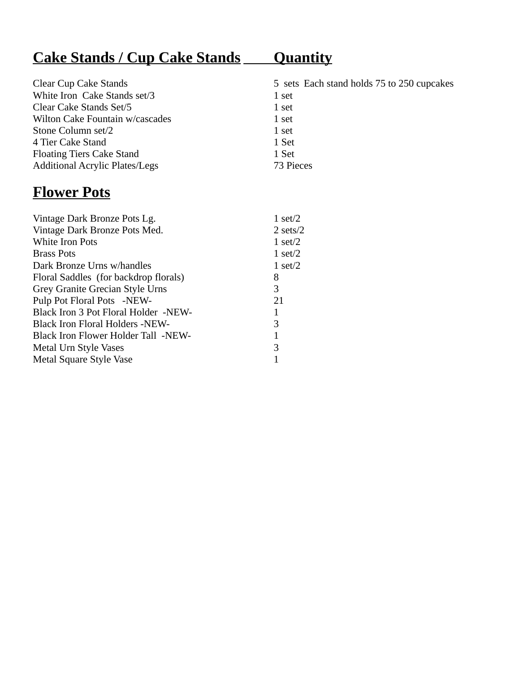# **Cake Stands / Cup Cake Stands Quantity**

| <b>Clear Cup Cake Stands</b>          | 5 sets Each stand holds 75 to 250 cupcakes |
|---------------------------------------|--------------------------------------------|
| White Iron Cake Stands set/3          | 1 set                                      |
| Clear Cake Stands Set/5               | 1 set                                      |
| Wilton Cake Fountain w/cascades       | 1 set                                      |
| Stone Column set/2                    | 1 set                                      |
| 4 Tier Cake Stand                     | 1 Set                                      |
| <b>Floating Tiers Cake Stand</b>      | 1 Set                                      |
| <b>Additional Acrylic Plates/Legs</b> | 73 Pieces                                  |

### **Flower Pots**

| Vintage Dark Bronze Pots Lg.               | 1 set/2              |
|--------------------------------------------|----------------------|
| Vintage Dark Bronze Pots Med.              | $2 \text{ sets} / 2$ |
| <b>White Iron Pots</b>                     | $1$ set/2            |
| <b>Brass Pots</b>                          | $1$ set/2            |
| Dark Bronze Urns w/handles                 | $1$ set/2            |
| Floral Saddles (for backdrop florals)      | 8                    |
| Grey Granite Grecian Style Urns            | 3                    |
| Pulp Pot Floral Pots -NEW-                 | 21                   |
| Black Iron 3 Pot Floral Holder -NEW-       | 1                    |
| <b>Black Iron Floral Holders -NEW-</b>     | 3                    |
| <b>Black Iron Flower Holder Tall -NEW-</b> | 1                    |
| Metal Urn Style Vases                      | 3                    |
| Metal Square Style Vase                    |                      |
|                                            |                      |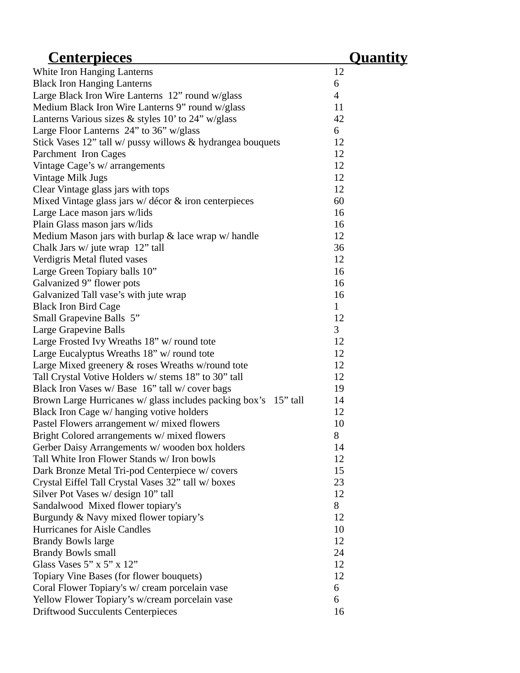| <u>Centerpieces</u>                                             | <u>Quantity</u> |
|-----------------------------------------------------------------|-----------------|
| White Iron Hanging Lanterns                                     | 12              |
| <b>Black Iron Hanging Lanterns</b>                              | 6               |
| Large Black Iron Wire Lanterns 12" round w/glass                | $\overline{4}$  |
| Medium Black Iron Wire Lanterns 9" round w/glass                | 11              |
| Lanterns Various sizes & styles 10' to 24" w/glass              | 42              |
| Large Floor Lanterns 24" to 36" w/glass                         | 6               |
| Stick Vases 12" tall w/ pussy willows & hydrangea bouquets      | 12              |
| Parchment Iron Cages                                            | 12              |
| Vintage Cage's w/ arrangements                                  | 12              |
| Vintage Milk Jugs                                               | 12              |
| Clear Vintage glass jars with tops                              | 12              |
| Mixed Vintage glass jars w/ décor & iron centerpieces           | 60              |
| Large Lace mason jars w/lids                                    | 16              |
| Plain Glass mason jars w/lids                                   | 16              |
| Medium Mason jars with burlap & lace wrap w/ handle             | 12              |
| Chalk Jars w/ jute wrap 12" tall                                | 36              |
| Verdigris Metal fluted vases                                    | 12              |
| Large Green Topiary balls 10"                                   | 16              |
| Galvanized 9" flower pots                                       | 16              |
| Galvanized Tall vase's with jute wrap                           | 16              |
| <b>Black Iron Bird Cage</b>                                     | $\mathbf{1}$    |
| Small Grapevine Balls 5"                                        | 12              |
| <b>Large Grapevine Balls</b>                                    | 3               |
| Large Frosted Ivy Wreaths 18" w/ round tote                     | 12              |
| Large Eucalyptus Wreaths 18" w/ round tote                      | 12              |
| Large Mixed greenery & roses Wreaths w/round tote               | 12              |
| Tall Crystal Votive Holders w/ stems 18" to 30" tall            | 12              |
| Black Iron Vases w/ Base 16" tall w/ cover bags                 | 19              |
| Brown Large Hurricanes w/ glass includes packing box's 15" tall | 14              |
| Black Iron Cage w/ hanging votive holders                       | 12              |
| Pastel Flowers arrangement w/ mixed flowers                     | 10              |
| Bright Colored arrangements w/ mixed flowers                    | 8               |
| Gerber Daisy Arrangements w/wooden box holders                  | 14              |
| Tall White Iron Flower Stands w/ Iron bowls                     | 12              |
| Dark Bronze Metal Tri-pod Centerpiece w/covers                  | 15              |
| Crystal Eiffel Tall Crystal Vases 32" tall w/boxes              | 23              |
| Silver Pot Vases w/ design 10" tall                             | 12              |
| Sandalwood Mixed flower topiary's                               | 8               |
| Burgundy & Navy mixed flower topiary's                          | 12              |
| <b>Hurricanes for Aisle Candles</b>                             | 10              |
| <b>Brandy Bowls large</b>                                       | 12              |
| <b>Brandy Bowls small</b>                                       | 24              |
| Glass Vases 5" x 5" x $12"$                                     | 12              |
| Topiary Vine Bases (for flower bouquets)                        | 12              |
| Coral Flower Topiary's w/ cream porcelain vase                  | 6               |
| Yellow Flower Topiary's w/cream porcelain vase                  | 6               |
| <b>Driftwood Succulents Centerpieces</b>                        | 16              |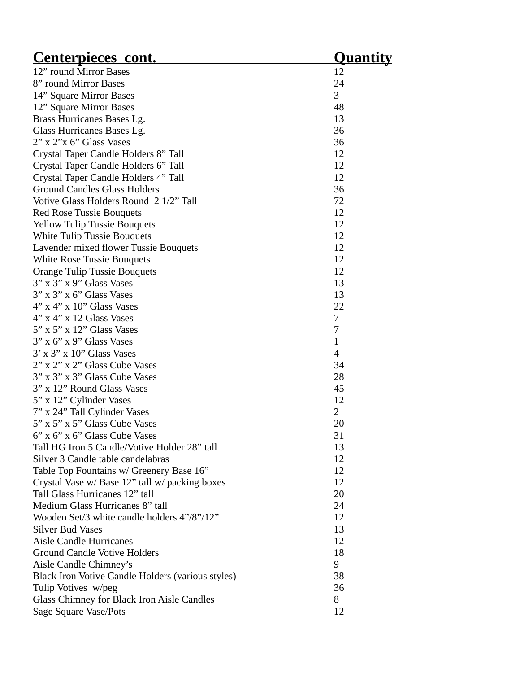| <b>Centerpieces cont.</b>                         | <u> Quantity</u> |
|---------------------------------------------------|------------------|
| 12" round Mirror Bases                            | 12               |
| 8" round Mirror Bases                             | 24               |
| 14" Square Mirror Bases                           | 3                |
| 12" Square Mirror Bases                           | 48               |
| Brass Hurricanes Bases Lg.                        | 13               |
| Glass Hurricanes Bases Lg.                        | 36               |
| 2" x 2"x 6" Glass Vases                           | 36               |
| Crystal Taper Candle Holders 8" Tall              | 12               |
| Crystal Taper Candle Holders 6" Tall              | 12               |
| Crystal Taper Candle Holders 4" Tall              | 12               |
| <b>Ground Candles Glass Holders</b>               | 36               |
| Votive Glass Holders Round 2 1/2" Tall            | 72               |
| <b>Red Rose Tussie Bouquets</b>                   | 12               |
| <b>Yellow Tulip Tussie Bouquets</b>               | 12               |
| White Tulip Tussie Bouquets                       | 12               |
| Lavender mixed flower Tussie Bouquets             | 12               |
| <b>White Rose Tussie Bouquets</b>                 | 12               |
| <b>Orange Tulip Tussie Bouquets</b>               | 12               |
| $3"$ x $3"$ x $9"$ Glass Vases                    | 13               |
| $3"$ x $3"$ x $6"$ Glass Vases                    | 13               |
| $4"$ x $4"$ x $10"$ Glass Vases                   | 22               |
| $4"$ x $4"$ x 12 Glass Vases                      | 7                |
| $5"$ x $5"$ x $12"$ Glass Vases                   | 7                |
|                                                   |                  |
| $3"$ x 6" x 9" Glass Vases                        | $\mathbf{1}$     |
| $3'$ x $3''$ x $10''$ Glass Vases                 | $\overline{4}$   |
| 2" x 2" x 2" Glass Cube Vases                     | 34               |
| 3" x 3" x 3" Glass Cube Vases                     | 28               |
| 3" x 12" Round Glass Vases                        | 45               |
| 5" x 12" Cylinder Vases                           | 12               |
| 7" x 24" Tall Cylinder Vases                      | 2                |
| 5" x 5" x 5" Glass Cube Vases                     | 20               |
| 6" x 6" x 6" Glass Cube Vases                     | 31               |
| Tall HG Iron 5 Candle/Votive Holder 28" tall      | 13               |
| Silver 3 Candle table candelabras                 | 12               |
| Table Top Fountains w/ Greenery Base 16"          | 12               |
| Crystal Vase w/ Base 12" tall w/ packing boxes    | 12               |
| Tall Glass Hurricanes 12" tall                    | 20               |
| Medium Glass Hurricanes 8" tall                   | 24               |
| Wooden Set/3 white candle holders 4"/8"/12"       | 12               |
| <b>Silver Bud Vases</b>                           | 13               |
| <b>Aisle Candle Hurricanes</b>                    | 12               |
| <b>Ground Candle Votive Holders</b>               | 18               |
| Aisle Candle Chimney's                            | 9                |
| Black Iron Votive Candle Holders (various styles) | 38               |
| Tulip Votives w/peg                               | 36               |
| <b>Glass Chimney for Black Iron Aisle Candles</b> | 8                |
| Sage Square Vase/Pots                             | 12               |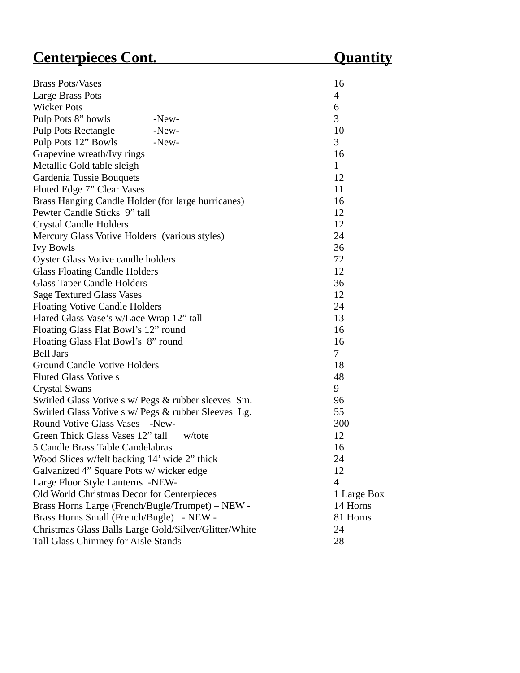#### **Centerpieces Cont. Contemple Content Cuantity**

| <b>Brass Pots/Vases</b>                             | 16           |
|-----------------------------------------------------|--------------|
| Large Brass Pots                                    | 4            |
| <b>Wicker Pots</b>                                  | 6            |
| Pulp Pots 8" bowls<br>-New-                         | 3            |
| <b>Pulp Pots Rectangle</b><br>-New-                 | 10           |
| Pulp Pots 12" Bowls<br>$-New-$                      | 3            |
| Grapevine wreath/Ivy rings                          | 16           |
| Metallic Gold table sleigh                          | $\mathbf{1}$ |
| Gardenia Tussie Bouquets                            | 12           |
| Fluted Edge 7" Clear Vases                          | 11           |
| Brass Hanging Candle Holder (for large hurricanes)  | 16           |
| Pewter Candle Sticks 9" tall                        | 12           |
| <b>Crystal Candle Holders</b>                       | 12           |
| Mercury Glass Votive Holders (various styles)       | 24           |
| <b>Ivy Bowls</b>                                    | 36           |
| <b>Oyster Glass Votive candle holders</b>           | 72           |
| <b>Glass Floating Candle Holders</b>                | 12           |
| <b>Glass Taper Candle Holders</b>                   | 36           |
| <b>Sage Textured Glass Vases</b>                    | 12           |
| <b>Floating Votive Candle Holders</b>               | 24           |
| Flared Glass Vase's w/Lace Wrap 12" tall            | 13           |
| Floating Glass Flat Bowl's 12" round                | 16           |
| Floating Glass Flat Bowl's 8" round                 | 16           |
| <b>Bell Jars</b>                                    | 7            |
| <b>Ground Candle Votive Holders</b>                 | 18           |
| <b>Fluted Glass Votive s</b>                        | 48           |
| <b>Crystal Swans</b>                                | 9            |
| Swirled Glass Votive s w/ Pegs & rubber sleeves Sm. | 96           |
| Swirled Glass Votive s w/ Pegs & rubber Sleeves Lg. | 55           |
| Round Votive Glass Vases<br>-New-                   | 300          |
| Green Thick Glass Vases 12" tall<br>w/tote          | 12           |
| 5 Candle Brass Table Candelabras                    | 16           |
| Wood Slices w/felt backing 14' wide 2" thick        | 24           |
| Galvanized 4" Square Pots w/ wicker edge            | 12           |

Large Floor Style Lanterns -NEW- 4

Christmas Glass Balls Large Gold/Silver/Glitter/White 24 Tall Glass Chimney for Aisle Stands 28

Old World Christmas Decor for Centerpieces 1 Large Box Brass Horns Large (French/Bugle/Trumpet) – NEW - 14 Horns Brass Horns Small (French/Bugle) - NEW - 81 Horns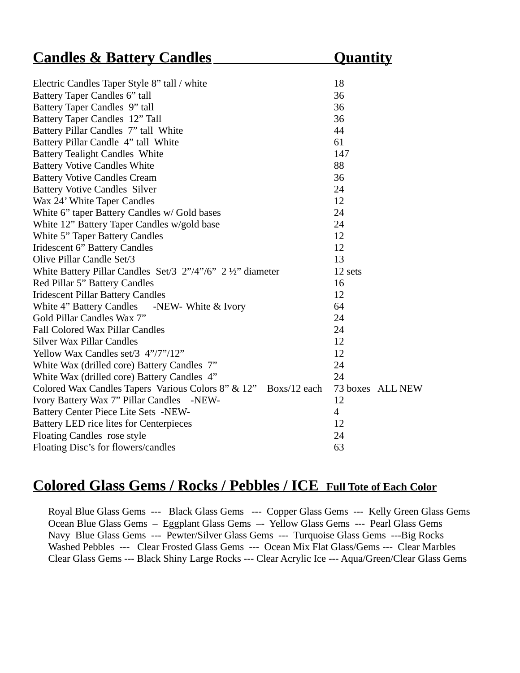| <b>Candles &amp; Battery Candles</b>                            | <u>Quantity</u>  |
|-----------------------------------------------------------------|------------------|
|                                                                 |                  |
| Electric Candles Taper Style 8" tall / white                    | 18               |
| Battery Taper Candles 6" tall                                   | 36               |
| Battery Taper Candles 9" tall                                   | 36               |
| Battery Taper Candles 12" Tall                                  | 36               |
| Battery Pillar Candles 7" tall White                            | 44               |
| Battery Pillar Candle 4" tall White                             | 61               |
| <b>Battery Tealight Candles White</b>                           | 147              |
| <b>Battery Votive Candles White</b>                             | 88               |
| <b>Battery Votive Candles Cream</b>                             | 36               |
| <b>Battery Votive Candles Silver</b>                            | 24               |
| Wax 24' White Taper Candles                                     | 12               |
| White 6" taper Battery Candles w/ Gold bases                    | 24               |
| White 12" Battery Taper Candles w/gold base                     | 24               |
| <b>White 5" Taper Battery Candles</b>                           | 12               |
| <b>Iridescent 6" Battery Candles</b>                            | 12               |
| Olive Pillar Candle Set/3                                       | 13               |
| White Battery Pillar Candles Set/3 2"/4"/6" 2 1/2" diameter     | 12 sets          |
| Red Pillar 5" Battery Candles                                   | 16               |
| <b>Iridescent Pillar Battery Candles</b>                        | 12               |
| White 4" Battery Candles -NEW- White & Ivory                    | 64               |
| Gold Pillar Candles Wax 7"                                      | 24               |
| <b>Fall Colored Wax Pillar Candles</b>                          | 24               |
| <b>Silver Wax Pillar Candles</b>                                | 12               |
| Yellow Wax Candles set/3 4"/7"/12"                              | 12               |
| White Wax (drilled core) Battery Candles 7"                     | 24               |
| White Wax (drilled core) Battery Candles 4"                     | 24               |
| Colored Wax Candles Tapers Various Colors 8" & 12" Boxs/12 each | 73 boxes ALL NEW |
| Ivory Battery Wax 7" Pillar Candles -NEW-                       | 12               |
| Battery Center Piece Lite Sets -NEW-                            | $\overline{4}$   |
| Battery LED rice lites for Centerpieces                         | 12               |
| <b>Floating Candles rose style</b>                              | 24               |
| Floating Disc's for flowers/candles                             | 63               |

#### **Colored Glass Gems / Rocks / Pebbles / ICE Full Tote of Each Color**

Royal Blue Glass Gems --- Black Glass Gems --- Copper Glass Gems --- Kelly Green Glass Gems Ocean Blue Glass Gems – Eggplant Glass Gems –- Yellow Glass Gems --- Pearl Glass Gems Navy Blue Glass Gems --- Pewter/Silver Glass Gems --- Turquoise Glass Gems ---Big Rocks Washed Pebbles --- Clear Frosted Glass Gems --- Ocean Mix Flat Glass/Gems --- Clear Marbles Clear Glass Gems --- Black Shiny Large Rocks --- Clear Acrylic Ice --- Aqua/Green/Clear Glass Gems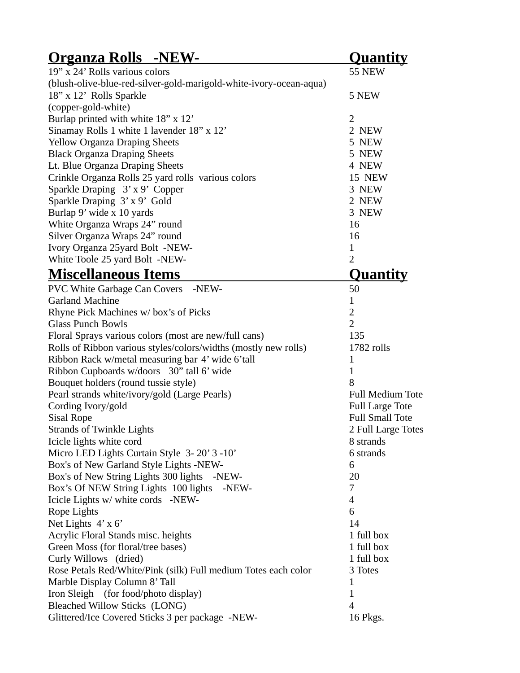| <u> Organza Rolls -NEW-</u>                                        | <u>Quantity</u>         |
|--------------------------------------------------------------------|-------------------------|
| 19" x 24' Rolls various colors                                     | <b>55 NEW</b>           |
| (blush-olive-blue-red-silver-gold-marigold-white-ivory-ocean-aqua) |                         |
| 18" x 12' Rolls Sparkle                                            | 5 NEW                   |
| (copper-gold-white)                                                |                         |
| Burlap printed with white 18" x 12'                                | $\overline{2}$          |
| Sinamay Rolls 1 white 1 lavender 18" x 12'                         | 2 NEW                   |
| <b>Yellow Organza Draping Sheets</b>                               | 5 NEW                   |
| <b>Black Organza Draping Sheets</b>                                | 5 NEW                   |
| Lt. Blue Organza Draping Sheets                                    | 4 NEW                   |
| Crinkle Organza Rolls 25 yard rolls various colors                 | <b>15 NEW</b>           |
| Sparkle Draping 3' x 9' Copper                                     | 3 NEW                   |
| Sparkle Draping 3' x 9' Gold                                       | 2 NEW                   |
| Burlap 9' wide x 10 yards                                          | 3 NEW                   |
| White Organza Wraps 24" round                                      | 16                      |
| Silver Organza Wraps 24" round                                     | 16                      |
| Ivory Organza 25yard Bolt -NEW-                                    | $\mathbf{1}$            |
| White Toole 25 yard Bolt -NEW-                                     | $\overline{2}$          |
| <b>Miscellaneous Items</b>                                         | <u>Quantity</u>         |
| <b>PVC White Garbage Can Covers</b> -NEW-                          | 50                      |
| <b>Garland Machine</b>                                             | $\mathbf{1}$            |
| Rhyne Pick Machines w/box's of Picks                               | $\overline{2}$          |
| <b>Glass Punch Bowls</b>                                           | $\overline{2}$          |
| Floral Sprays various colors (most are new/full cans)              | 135                     |
| Rolls of Ribbon various styles/colors/widths (mostly new rolls)    | 1782 rolls              |
| Ribbon Rack w/metal measuring bar 4' wide 6'tall                   | $\mathbf{1}$            |
| Ribbon Cupboards w/doors 30" tall 6' wide                          | $\mathbf{1}$            |
| Bouquet holders (round tussie style)                               | 8                       |
| Pearl strands white/ivory/gold (Large Pearls)                      | <b>Full Medium Tote</b> |
| Cording Ivory/gold                                                 | <b>Full Large Tote</b>  |
| <b>Sisal Rope</b>                                                  | <b>Full Small Tote</b>  |
| <b>Strands of Twinkle Lights</b>                                   | 2 Full Large Totes      |
| Icicle lights white cord                                           | 8 strands               |
| Micro LED Lights Curtain Style 3-20'3-10'                          | 6 strands               |
| Box's of New Garland Style Lights -NEW-                            | 6                       |
| Box's of New String Lights 300 lights<br>-NEW-                     | 20                      |
| Box's Of NEW String Lights 100 lights -NEW-                        | 7                       |
| Icicle Lights w/ white cords -NEW-                                 | $\overline{4}$          |
| Rope Lights                                                        | 6                       |
| Net Lights $4' \times 6'$                                          | 14                      |
| Acrylic Floral Stands misc. heights                                | 1 full box              |
| Green Moss (for floral/tree bases)                                 | 1 full box              |
| Curly Willows (dried)                                              | 1 full box              |
| Rose Petals Red/White/Pink (silk) Full medium Totes each color     | 3 Totes                 |
| Marble Display Column 8' Tall                                      | $\mathbf{1}$            |
| Iron Sleigh (for food/photo display)                               | $\mathbf{1}$            |
| <b>Bleached Willow Sticks (LONG)</b>                               | $\overline{4}$          |
| Glittered/Ice Covered Sticks 3 per package -NEW-                   | 16 Pkgs.                |
|                                                                    |                         |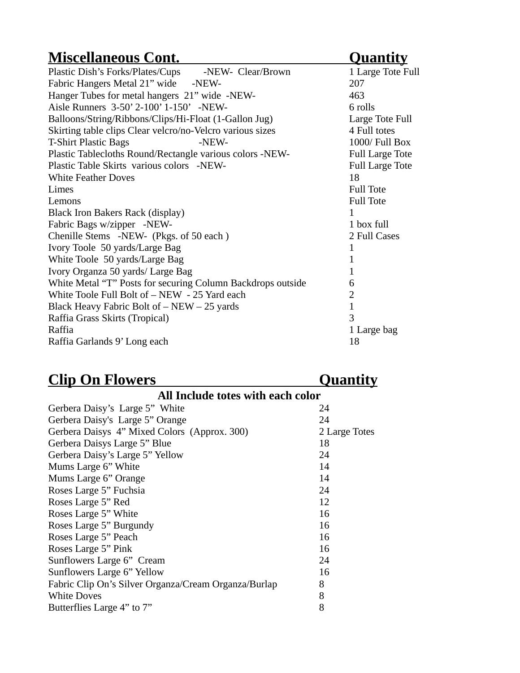### **Miscellaneous Cont.** Quantity

| Plastic Dish's Forks/Plates/Cups -NEW- Clear/Brown          | 1 Large Tote Full      |
|-------------------------------------------------------------|------------------------|
| Fabric Hangers Metal 21" wide -NEW-                         | 207                    |
| Hanger Tubes for metal hangers 21" wide -NEW-               | 463                    |
| Aisle Runners 3-50' 2-100' 1-150' -NEW-                     | 6 rolls                |
| Balloons/String/Ribbons/Clips/Hi-Float (1-Gallon Jug)       | Large Tote Full        |
| Skirting table clips Clear velcro/no-Velcro various sizes   | 4 Full totes           |
| <b>T-Shirt Plastic Bags</b><br>-NEW-                        | 1000/ Full Box         |
| Plastic Tablecloths Round/Rectangle various colors -NEW-    | <b>Full Large Tote</b> |
| Plastic Table Skirts various colors -NEW-                   | <b>Full Large Tote</b> |
| <b>White Feather Doves</b>                                  | 18                     |
| Limes                                                       | <b>Full Tote</b>       |
| Lemons                                                      | <b>Full Tote</b>       |
| Black Iron Bakers Rack (display)                            | $\mathbf{1}$           |
| Fabric Bags w/zipper -NEW-                                  | 1 box full             |
| Chenille Stems -NEW- (Pkgs. of 50 each)                     | 2 Full Cases           |
| Ivory Toole 50 yards/Large Bag                              | 1                      |
| White Toole 50 yards/Large Bag                              | $\mathbf{1}$           |
| Ivory Organza 50 yards/ Large Bag                           | $\mathbf{1}$           |
| White Metal "T" Posts for securing Column Backdrops outside | 6                      |
| White Toole Full Bolt of - NEW - 25 Yard each               | $\overline{2}$         |
| Black Heavy Fabric Bolt of $-$ NEW $-$ 25 yards             | $\mathbf{1}$           |
| Raffia Grass Skirts (Tropical)                              | 3                      |
| Raffia                                                      | 1 Large bag            |
| Raffia Garlands 9' Long each                                | 18                     |
|                                                             |                        |

### *Clip On Flowers* Quantity

| All Include totes with each color                    |               |
|------------------------------------------------------|---------------|
| Gerbera Daisy's Large 5" White                       | 24            |
| Gerbera Daisy's Large 5" Orange                      | 24            |
| Gerbera Daisys 4" Mixed Colors (Approx. 300)         | 2 Large Totes |
| Gerbera Daisys Large 5" Blue                         | 18            |
| Gerbera Daisy's Large 5" Yellow                      | 24            |
| Mums Large 6" White                                  | 14            |
| Mums Large 6" Orange                                 | 14            |
| Roses Large 5" Fuchsia                               | 24            |
| Roses Large 5" Red                                   | 12            |
| Roses Large 5" White                                 | 16            |
| Roses Large 5" Burgundy                              | 16            |
| Roses Large 5" Peach                                 | 16            |
| Roses Large 5" Pink                                  | 16            |
| Sunflowers Large 6" Cream                            | 24            |
| Sunflowers Large 6" Yellow                           | 16            |
| Fabric Clip On's Silver Organza/Cream Organza/Burlap | 8             |
| <b>White Doves</b>                                   | 8             |
| Butterflies Large 4" to 7"                           | 8             |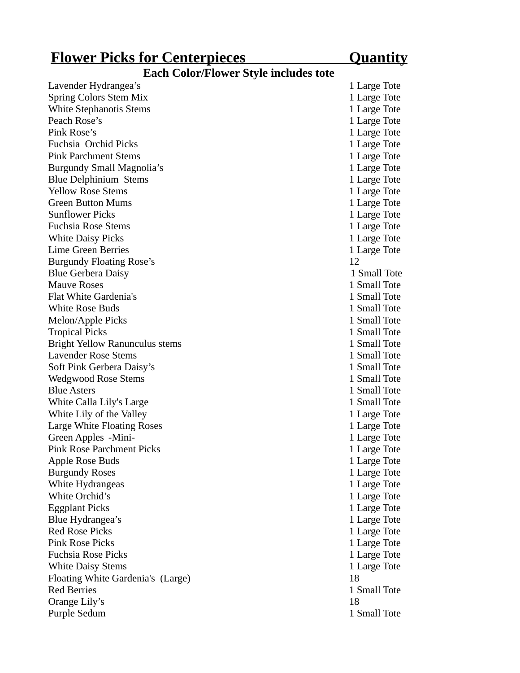### **Flower Picks for Centerpieces** Quantity

#### **Each Color/Flower Style includes tote**

| Lavender Hydrangea's              | 1 Large Tote |
|-----------------------------------|--------------|
| Spring Colors Stem Mix            | 1 Large Tote |
| <b>White Stephanotis Stems</b>    | 1 Large Tote |
| Peach Rose's                      | 1 Large Tote |
| Pink Rose's                       | 1 Large Tote |
| Fuchsia Orchid Picks              | 1 Large Tote |
| <b>Pink Parchment Stems</b>       | 1 Large Tote |
| Burgundy Small Magnolia's         | 1 Large Tote |
| <b>Blue Delphinium Stems</b>      | 1 Large Tote |
| <b>Yellow Rose Stems</b>          | 1 Large Tote |
| <b>Green Button Mums</b>          | 1 Large Tote |
| <b>Sunflower Picks</b>            | 1 Large Tote |
| <b>Fuchsia Rose Stems</b>         | 1 Large Tote |
| <b>White Daisy Picks</b>          | 1 Large Tote |
| <b>Lime Green Berries</b>         | 1 Large Tote |
| <b>Burgundy Floating Rose's</b>   | 12           |
| <b>Blue Gerbera Daisy</b>         | 1 Small Tote |
| <b>Mauve Roses</b>                | 1 Small Tote |
| Flat White Gardenia's             | 1 Small Tote |
| <b>White Rose Buds</b>            | 1 Small Tote |
| Melon/Apple Picks                 | 1 Small Tote |
| <b>Tropical Picks</b>             | 1 Small Tote |
| Bright Yellow Ranunculus stems    | 1 Small Tote |
| <b>Lavender Rose Stems</b>        | 1 Small Tote |
| Soft Pink Gerbera Daisy's         | 1 Small Tote |
| <b>Wedgwood Rose Stems</b>        | 1 Small Tote |
| <b>Blue Asters</b>                | 1 Small Tote |
| White Calla Lily's Large          | 1 Small Tote |
| White Lily of the Valley          | 1 Large Tote |
| Large White Floating Roses        | 1 Large Tote |
| Green Apples -Mini-               | 1 Large Tote |
| <b>Pink Rose Parchment Picks</b>  | 1 Large Tote |
| Apple Rose Buds                   | 1 Large Tote |
| <b>Burgundy Roses</b>             | 1 Large Tote |
| White Hydrangeas                  | 1 Large Tote |
| White Orchid's                    | 1 Large Tote |
| <b>Eggplant Picks</b>             | 1 Large Tote |
| Blue Hydrangea's                  | 1 Large Tote |
| <b>Red Rose Picks</b>             | 1 Large Tote |
| <b>Pink Rose Picks</b>            | 1 Large Tote |
| <b>Fuchsia Rose Picks</b>         | 1 Large Tote |
| <b>White Daisy Stems</b>          | 1 Large Tote |
| Floating White Gardenia's (Large) | 18           |
| <b>Red Berries</b>                | 1 Small Tote |
| Orange Lily's                     | 18           |
| Purple Sedum                      | 1 Small Tote |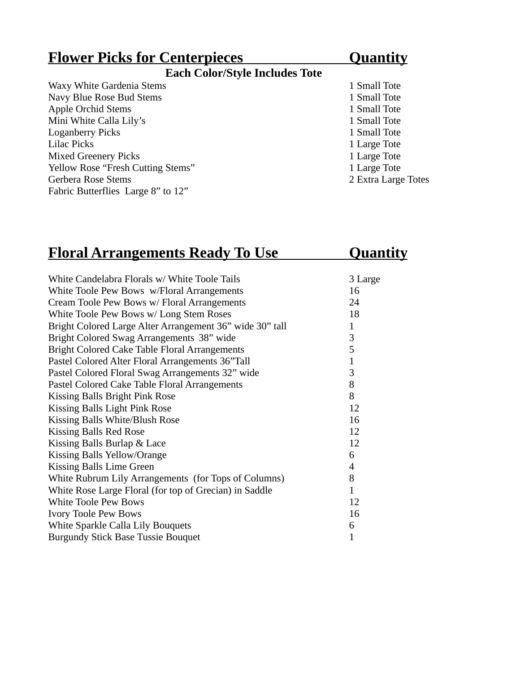| <b>Flower Picks for Centerpieces</b>  | <u>Quantity</u>     |  |
|---------------------------------------|---------------------|--|
| <b>Each Color/Style Includes Tote</b> |                     |  |
| Waxy White Gardenia Stems             | 1 Small Tote        |  |
| Navy Blue Rose Bud Stems              | 1 Small Tote        |  |
| <b>Apple Orchid Stems</b>             | 1 Small Tote        |  |
| Mini White Calla Lily's               | 1 Small Tote        |  |
| <b>Loganberry Picks</b>               | 1 Small Tote        |  |
| Lilac Picks                           | 1 Large Tote        |  |
| <b>Mixed Greenery Picks</b>           | 1 Large Tote        |  |
| Yellow Rose "Fresh Cutting Stems"     | 1 Large Tote        |  |
| Gerbera Rose Stems                    | 2 Extra Large Totes |  |
| Fabric Butterflies Large 8" to 12"    |                     |  |

# **Floral Arrangements Ready To Use Cuantity**

| White Candelabra Florals w/ White Toole Tails            | 3 Large        |
|----------------------------------------------------------|----------------|
| White Toole Pew Bows w/Floral Arrangements               | 16             |
| Cream Toole Pew Bows w/ Floral Arrangements              | 24             |
| White Toole Pew Bows w/ Long Stem Roses                  | 18             |
| Bright Colored Large Alter Arrangement 36" wide 30" tall | $\mathbf{1}$   |
| Bright Colored Swag Arrangements 38" wide                | 3              |
| Bright Colored Cake Table Floral Arrangements            | 5              |
| Pastel Colored Alter Floral Arrangements 36"Tall         | $\mathbf{1}$   |
| Pastel Colored Floral Swag Arrangements 32" wide         | 3              |
| Pastel Colored Cake Table Floral Arrangements            | 8              |
| Kissing Balls Bright Pink Rose                           | 8              |
| Kissing Balls Light Pink Rose                            | 12             |
| Kissing Balls White/Blush Rose                           | 16             |
| <b>Kissing Balls Red Rose</b>                            | 12             |
| Kissing Balls Burlap & Lace                              | 12             |
| Kissing Balls Yellow/Orange                              | 6              |
| Kissing Balls Lime Green                                 | $\overline{4}$ |
| White Rubrum Lily Arrangements (for Tops of Columns)     | 8              |
| White Rose Large Floral (for top of Grecian) in Saddle   | $\mathbf{1}$   |
| <b>White Toole Pew Bows</b>                              | 12             |
| <b>Ivory Toole Pew Bows</b>                              | 16             |
| White Sparkle Calla Lily Bouquets                        | 6              |
| <b>Burgundy Stick Base Tussie Bouquet</b>                | $\overline{1}$ |
|                                                          |                |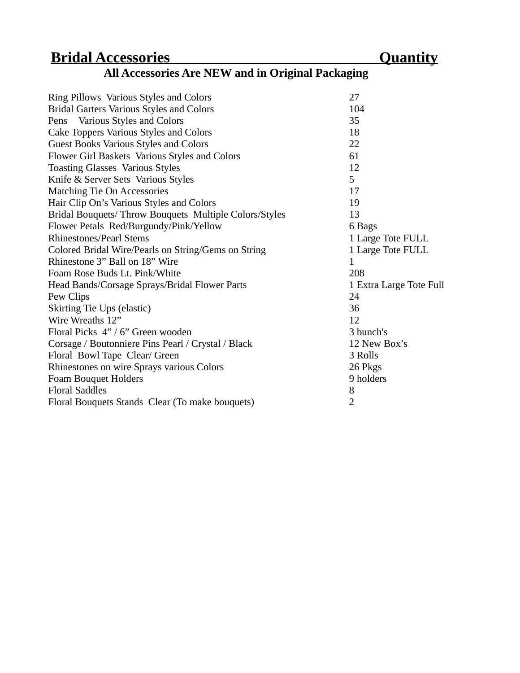# **Bridal Accessories** Quantity

| <b>All Accessories Are NEW and in Original Packaging</b> |  |  |
|----------------------------------------------------------|--|--|
|----------------------------------------------------------|--|--|

| Ring Pillows Various Styles and Colors                | 27                      |
|-------------------------------------------------------|-------------------------|
| <b>Bridal Garters Various Styles and Colors</b>       | 104                     |
| Pens Various Styles and Colors                        | 35                      |
| Cake Toppers Various Styles and Colors                | 18                      |
| <b>Guest Books Various Styles and Colors</b>          | 22                      |
| Flower Girl Baskets Various Styles and Colors         | 61                      |
| <b>Toasting Glasses Various Styles</b>                | 12                      |
| Knife & Server Sets Various Styles                    | 5                       |
| <b>Matching Tie On Accessories</b>                    | 17                      |
| Hair Clip On's Various Styles and Colors              | 19                      |
| Bridal Bouquets/Throw Bouquets Multiple Colors/Styles | 13                      |
| Flower Petals Red/Burgundy/Pink/Yellow                | 6 Bags                  |
| <b>Rhinestones/Pearl Stems</b>                        | 1 Large Tote FULL       |
| Colored Bridal Wire/Pearls on String/Gems on String   | 1 Large Tote FULL       |
| Rhinestone 3" Ball on 18" Wire                        | $\mathbf{1}$            |
| Foam Rose Buds Lt. Pink/White                         | 208                     |
| Head Bands/Corsage Sprays/Bridal Flower Parts         | 1 Extra Large Tote Full |
| Pew Clips                                             | 24                      |
| Skirting Tie Ups (elastic)                            | 36                      |
| Wire Wreaths 12"                                      | 12                      |
| Floral Picks 4" / 6" Green wooden                     | 3 bunch's               |
| Corsage / Boutonniere Pins Pearl / Crystal / Black    | 12 New Box's            |
| Floral Bowl Tape Clear/ Green                         | 3 Rolls                 |
| Rhinestones on wire Sprays various Colors             | 26 Pkgs                 |
| Foam Bouquet Holders                                  | 9 holders               |
| <b>Floral Saddles</b>                                 | 8                       |
| Floral Bouquets Stands Clear (To make bouquets)       | 2                       |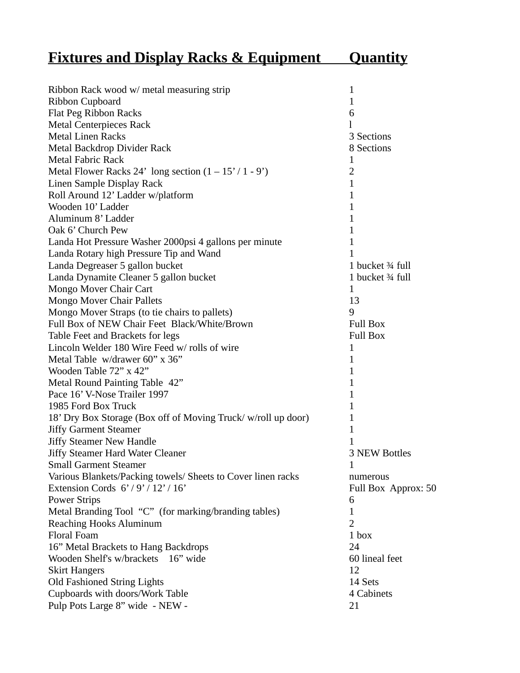| <b>Fixtures and Display Racks &amp; Equipment</b> |  | <b>Ouantity</b> |
|---------------------------------------------------|--|-----------------|
|                                                   |  |                 |

| Ribbon Rack wood w/ metal measuring strip                    | 1                    |
|--------------------------------------------------------------|----------------------|
| <b>Ribbon Cupboard</b>                                       | 1                    |
| Flat Peg Ribbon Racks                                        | 6                    |
| <b>Metal Centerpieces Rack</b>                               | 1                    |
| <b>Metal Linen Racks</b>                                     | 3 Sections           |
| Metal Backdrop Divider Rack                                  | 8 Sections           |
| <b>Metal Fabric Rack</b>                                     | 1                    |
| Metal Flower Racks 24' long section $(1 – 15' / 1 – 9')$     | 2                    |
| Linen Sample Display Rack                                    | $\mathbf{1}$         |
| Roll Around 12' Ladder w/platform                            | 1                    |
| Wooden 10' Ladder                                            | $\mathbf{1}$         |
| Aluminum 8' Ladder                                           | 1                    |
| Oak 6' Church Pew                                            | 1                    |
| Landa Hot Pressure Washer 2000psi 4 gallons per minute       | 1                    |
| Landa Rotary high Pressure Tip and Wand                      | 1                    |
| Landa Degreaser 5 gallon bucket                              | 1 bucket 34 full     |
| Landa Dynamite Cleaner 5 gallon bucket                       | 1 bucket 34 full     |
| Mongo Mover Chair Cart                                       | 1                    |
| Mongo Mover Chair Pallets                                    | 13                   |
| Mongo Mover Straps (to tie chairs to pallets)                | 9                    |
| Full Box of NEW Chair Feet Black/White/Brown                 | <b>Full Box</b>      |
| Table Feet and Brackets for legs                             | <b>Full Box</b>      |
| Lincoln Welder 180 Wire Feed w/ rolls of wire                | $\mathbf{1}$         |
| Metal Table w/drawer 60" x 36"                               | 1                    |
| Wooden Table 72" x 42"                                       | 1                    |
| Metal Round Painting Table 42"                               | $\mathbf{1}$         |
| Pace 16' V-Nose Trailer 1997                                 | 1                    |
| 1985 Ford Box Truck                                          | 1                    |
| 18' Dry Box Storage (Box off of Moving Truck/w/roll up door) | 1                    |
| <b>Jiffy Garment Steamer</b>                                 | 1                    |
| <b>Jiffy Steamer New Handle</b>                              | 1                    |
| <b>Jiffy Steamer Hard Water Cleaner</b>                      | <b>3 NEW Bottles</b> |
| <b>Small Garment Steamer</b>                                 | $\mathbf{1}$         |
| Various Blankets/Packing towels/ Sheets to Cover linen racks | numerous             |
| Extension Cords $6'/9'/12'/16'$                              | Full Box Approx: 50  |
| <b>Power Strips</b>                                          | 6                    |
| Metal Branding Tool "C" (for marking/branding tables)        | 1                    |
| <b>Reaching Hooks Aluminum</b>                               | $\overline{2}$       |
| Floral Foam                                                  | 1 box                |
| 16" Metal Brackets to Hang Backdrops                         | 24                   |
| Wooden Shelf's w/brackets 16" wide                           | 60 lineal feet       |
| <b>Skirt Hangers</b>                                         | 12                   |
| Old Fashioned String Lights                                  | 14 Sets              |
| Cupboards with doors/Work Table                              | 4 Cabinets           |
| Pulp Pots Large 8" wide - NEW -                              | 21                   |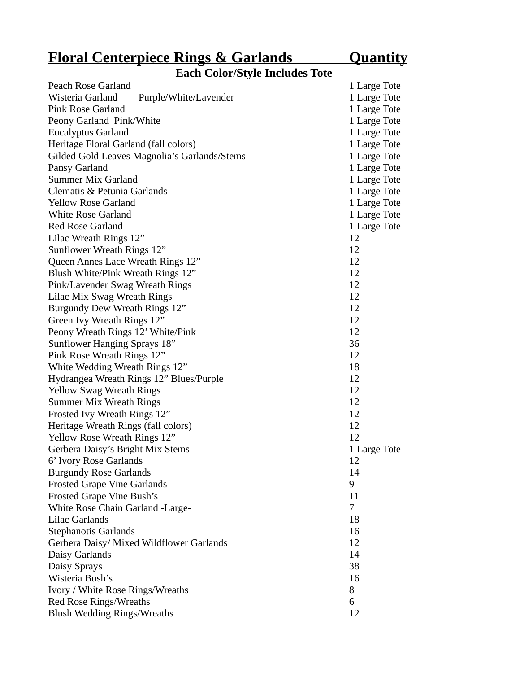#### **Floral Centerpiece Rings & Garlands Quantity**

#### **Each Color/Style Includes Tote**

| Peach Rose Garland                           | 1 Large Tote |
|----------------------------------------------|--------------|
| Wisteria Garland<br>Purple/White/Lavender    | 1 Large Tote |
| <b>Pink Rose Garland</b>                     | 1 Large Tote |
| Peony Garland Pink/White                     | 1 Large Tote |
| <b>Eucalyptus Garland</b>                    | 1 Large Tote |
| Heritage Floral Garland (fall colors)        | 1 Large Tote |
| Gilded Gold Leaves Magnolia's Garlands/Stems | 1 Large Tote |
| Pansy Garland                                | 1 Large Tote |
| <b>Summer Mix Garland</b>                    | 1 Large Tote |
| Clematis & Petunia Garlands                  | 1 Large Tote |
| <b>Yellow Rose Garland</b>                   | 1 Large Tote |
| <b>White Rose Garland</b>                    | 1 Large Tote |
| <b>Red Rose Garland</b>                      | 1 Large Tote |
| Lilac Wreath Rings 12"                       | 12           |
| Sunflower Wreath Rings 12"                   | 12           |
| Queen Annes Lace Wreath Rings 12"            | 12           |
| Blush White/Pink Wreath Rings 12"            | 12           |
| Pink/Lavender Swag Wreath Rings              | 12           |
| Lilac Mix Swag Wreath Rings                  | 12           |
| Burgundy Dew Wreath Rings 12"                | 12           |
| Green Ivy Wreath Rings 12"                   | 12           |
| Peony Wreath Rings 12' White/Pink            | 12           |
| Sunflower Hanging Sprays 18"                 | 36           |
| Pink Rose Wreath Rings 12"                   | 12           |
| White Wedding Wreath Rings 12"               | 18           |
| Hydrangea Wreath Rings 12" Blues/Purple      | 12           |
| <b>Yellow Swag Wreath Rings</b>              | 12           |
| <b>Summer Mix Wreath Rings</b>               | 12           |
| Frosted Ivy Wreath Rings 12"                 | 12           |
| Heritage Wreath Rings (fall colors)          | 12           |
| Yellow Rose Wreath Rings 12"                 | 12           |
| Gerbera Daisy's Bright Mix Stems             | 1 Large Tote |
| 6' Ivory Rose Garlands                       | 12           |
| <b>Burgundy Rose Garlands</b>                | 14           |
| <b>Frosted Grape Vine Garlands</b>           | 9            |
| Frosted Grape Vine Bush's                    | 11           |
| White Rose Chain Garland -Large-             | 7            |
| Lilac Garlands                               | 18           |
| <b>Stephanotis Garlands</b>                  | 16           |
| Gerbera Daisy/ Mixed Wildflower Garlands     | 12           |
| Daisy Garlands                               | 14           |
| Daisy Sprays                                 | 38           |
| Wisteria Bush's                              | 16           |
| Ivory / White Rose Rings/Wreaths             | 8            |
| <b>Red Rose Rings/Wreaths</b>                | 6            |
| <b>Blush Wedding Rings/Wreaths</b>           | 12           |
|                                              |              |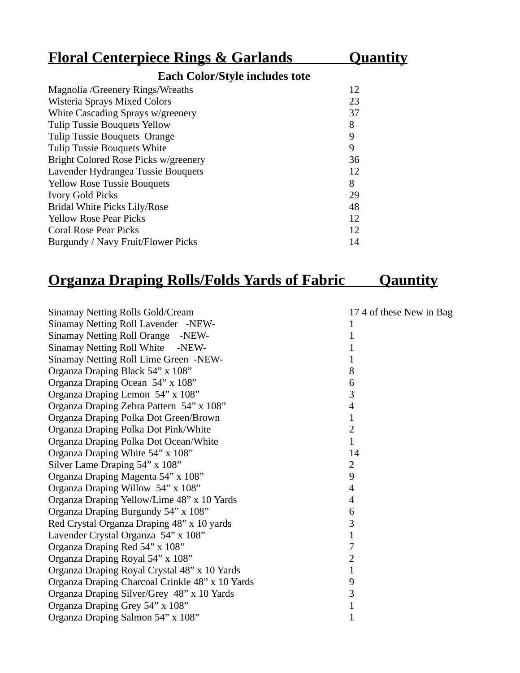| <b>Floral Centerpiece Rings &amp; Garlands</b> | <b>Quantity</b> |  |  |
|------------------------------------------------|-----------------|--|--|
| <b>Each Color/Style includes tote</b>          |                 |  |  |
| Magnolia / Greenery Rings/Wreaths              | 12              |  |  |
| Wisteria Sprays Mixed Colors                   | 23              |  |  |
| White Cascading Sprays w/greenery              | 37              |  |  |
| <b>Tulip Tussie Bouquets Yellow</b>            | 8               |  |  |
| Tulip Tussie Bouquets Orange                   | 9               |  |  |
| <b>Tulip Tussie Bouquets White</b>             | 9               |  |  |
| Bright Colored Rose Picks w/greenery           | 36              |  |  |
| Lavender Hydrangea Tussie Bouquets             | 12              |  |  |
| <b>Yellow Rose Tussie Bouquets</b>             | 8               |  |  |
| <b>Ivory Gold Picks</b>                        | 29              |  |  |
| Bridal White Picks Lily/Rose                   | 48              |  |  |
| <b>Yellow Rose Pear Picks</b>                  | 12              |  |  |
| <b>Coral Rose Pear Picks</b>                   | 12              |  |  |
| Burgundy / Navy Fruit/Flower Picks             | 14              |  |  |

# **Organza Draping Rolls/Folds Yards of Fabric Qauntity**

| Sinamay Netting Rolls Gold/Cream                | 17 4 of these New in Bag |
|-------------------------------------------------|--------------------------|
| Sinamay Netting Roll Lavender -NEW-             |                          |
| <b>Sinamay Netting Roll Orange</b><br>-NEW-     |                          |
| <b>Sinamay Netting Roll White</b><br>-NEW-      | 1                        |
| Sinamay Netting Roll Lime Green -NEW-           | 1                        |
| Organza Draping Black 54" x 108"                | 8                        |
| Organza Draping Ocean 54" x 108"                | 6                        |
| Organza Draping Lemon 54" x 108"                | 3                        |
| Organza Draping Zebra Pattern 54" x 108"        | 4                        |
| Organza Draping Polka Dot Green/Brown           | $\mathbf 1$              |
| Organza Draping Polka Dot Pink/White            | $\overline{2}$           |
| Organza Draping Polka Dot Ocean/White           | $\mathbf 1$              |
| Organza Draping White 54" x 108"                | 14                       |
| Silver Lame Draping 54" x 108"                  | $\overline{2}$           |
| Organza Draping Magenta 54" x 108"              | 9                        |
| Organza Draping Willow 54" x 108"               | 4                        |
| Organza Draping Yellow/Lime 48" x 10 Yards      | 4                        |
| Organza Draping Burgundy 54" x 108"             | 6                        |
| Red Crystal Organza Draping 48" x 10 yards      | 3                        |
| Lavender Crystal Organza 54" x 108"             | $\mathbf 1$              |
| Organza Draping Red 54" x 108"                  | 7                        |
| Organza Draping Royal 54" x 108"                | 2                        |
| Organza Draping Royal Crystal 48" x 10 Yards    | 1                        |
| Organza Draping Charcoal Crinkle 48" x 10 Yards | 9                        |
| Organza Draping Silver/Grey 48" x 10 Yards      | 3                        |
| Organza Draping Grey 54" x 108"                 | $\mathbf 1$              |
| Organza Draping Salmon 54" x 108"               | 1                        |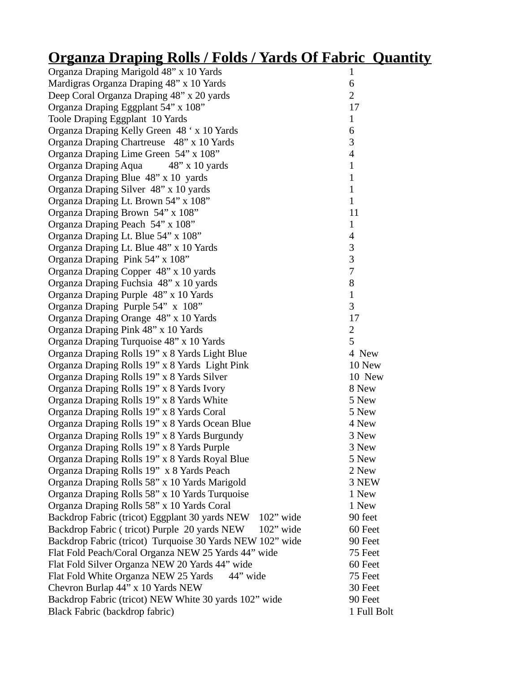# **Organza Draping Rolls / Folds / Yards Of Fabric Quantity**

| Organza Draping Marigold 48" x 10 Yards                                                      | $\mathbf{1}$             |
|----------------------------------------------------------------------------------------------|--------------------------|
| Mardigras Organza Draping 48" x 10 Yards                                                     | 6                        |
| Deep Coral Organza Draping 48" x 20 yards                                                    | $\overline{2}$           |
| Organza Draping Eggplant 54" x 108"                                                          | 17                       |
| Toole Draping Eggplant 10 Yards                                                              | $\mathbf{1}$             |
| Organza Draping Kelly Green 48 ' x 10 Yards                                                  | 6                        |
| Organza Draping Chartreuse 48" x 10 Yards                                                    | 3                        |
| Organza Draping Lime Green 54" x 108"                                                        | $\overline{\mathcal{A}}$ |
| Organza Draping Aqua 48" x 10 yards                                                          | $\mathbf{1}$             |
| Organza Draping Blue 48" x 10 yards                                                          | $\mathbf{1}$             |
| Organza Draping Silver 48" x 10 yards                                                        | $\mathbf{1}$             |
| Organza Draping Lt. Brown 54" x 108"                                                         | $\overline{1}$           |
| Organza Draping Brown 54" x 108"                                                             | 11                       |
| Organza Draping Peach 54" x 108"                                                             | $\mathbf{1}$             |
| Organza Draping Lt. Blue 54" x 108"                                                          | $\overline{\mathcal{A}}$ |
| Organza Draping Lt. Blue 48" x 10 Yards                                                      | 3                        |
| Organza Draping Pink 54" x 108"                                                              | 3                        |
| Organza Draping Copper 48" x 10 yards                                                        | 7                        |
| Organza Draping Fuchsia 48" x 10 yards                                                       | 8                        |
| Organza Draping Purple 48" x 10 Yards                                                        | $\mathbf{1}$             |
| Organza Draping Purple 54" x 108"                                                            | 3                        |
| Organza Draping Orange 48" x 10 Yards                                                        | 17                       |
| Organza Draping Pink 48" x 10 Yards                                                          | 2                        |
| Organza Draping Turquoise 48" x 10 Yards                                                     | 5                        |
| Organza Draping Rolls 19" x 8 Yards Light Blue                                               | 4 New                    |
| Organza Draping Rolls 19" x 8 Yards Light Pink                                               | 10 New                   |
| Organza Draping Rolls 19" x 8 Yards Silver                                                   | 10 New                   |
| Organza Draping Rolls 19" x 8 Yards Ivory                                                    | 8 New                    |
| Organza Draping Rolls 19" x 8 Yards White                                                    | 5 New                    |
| Organza Draping Rolls 19" x 8 Yards Coral                                                    | 5 New                    |
| Organza Draping Rolls 19" x 8 Yards Ocean Blue                                               | 4 New                    |
| Organza Draping Rolls 19" x 8 Yards Burgundy                                                 | 3 New                    |
| Organza Draping Rolls 19" x 8 Yards Purple                                                   | 3 New                    |
| Organza Draping Rolls 19" x 8 Yards Royal Blue                                               | 5 New                    |
| Organza Draping Rolls 19" x 8 Yards Peach                                                    | 2 New                    |
| Organza Draping Rolls 58" x 10 Yards Marigold                                                | 3 NEW                    |
| Organza Draping Rolls 58" x 10 Yards Turquoise                                               | 1 New                    |
| Organza Draping Rolls 58" x 10 Yards Coral<br>Backdrop Fabric (tricot) Eggplant 30 yards NEW | 1 New                    |
| $102"$ wide<br>Backdrop Fabric (tricot) Purple 20 yards NEW<br>102" wide                     | 90 feet<br>60 Feet       |
| Backdrop Fabric (tricot) Turquoise 30 Yards NEW 102" wide                                    | 90 Feet                  |
| Flat Fold Peach/Coral Organza NEW 25 Yards 44" wide                                          | 75 Feet                  |
| Flat Fold Silver Organza NEW 20 Yards 44" wide                                               | 60 Feet                  |
| Flat Fold White Organza NEW 25 Yards<br>44" wide                                             | 75 Feet                  |
| Chevron Burlap 44" x 10 Yards NEW                                                            | 30 Feet                  |
| Backdrop Fabric (tricot) NEW White 30 yards 102" wide                                        | 90 Feet                  |
| Black Fabric (backdrop fabric)                                                               | 1 Full Bolt              |
|                                                                                              |                          |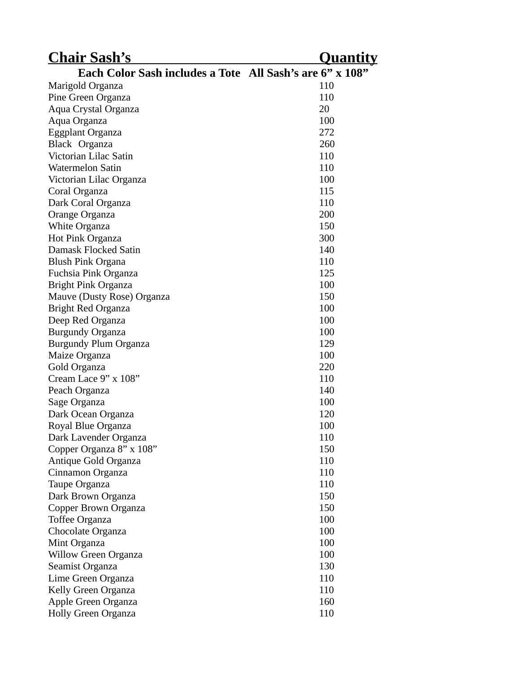| <b>Chair Sash's</b>                                      | <u>Quantity</u> |
|----------------------------------------------------------|-----------------|
| Each Color Sash includes a Tote All Sash's are 6" x 108" |                 |
| Marigold Organza                                         | 110             |
| Pine Green Organza                                       | 110             |
| Aqua Crystal Organza                                     | 20              |
| Aqua Organza                                             | 100             |
| <b>Eggplant Organza</b>                                  | 272             |
| Black Organza                                            | 260             |
| Victorian Lilac Satin                                    | 110             |
| <b>Watermelon Satin</b>                                  | 110             |
| Victorian Lilac Organza                                  | 100             |
| Coral Organza                                            | 115             |
| Dark Coral Organza                                       | 110             |
| Orange Organza                                           | 200             |
| <b>White Organza</b>                                     | 150             |
| Hot Pink Organza                                         | 300             |
| Damask Flocked Satin                                     | 140             |
| Blush Pink Organa                                        | 110             |
| Fuchsia Pink Organza                                     | 125             |
| Bright Pink Organza                                      | 100             |
| Mauve (Dusty Rose) Organza                               | 150             |
| <b>Bright Red Organza</b>                                | 100             |
| Deep Red Organza                                         | 100             |
| <b>Burgundy Organza</b>                                  | 100             |
| Burgundy Plum Organza                                    | 129             |
| Maize Organza                                            | 100             |
| Gold Organza                                             | 220             |
| Cream Lace 9" x 108"                                     | 110             |
| Peach Organza                                            | 140             |
| Sage Organza                                             | 100             |
| Dark Ocean Organza                                       | 120             |
| Royal Blue Organza                                       | 100             |
| Dark Lavender Organza                                    | 110             |
| Copper Organza 8" x 108"                                 | 150             |
| Antique Gold Organza                                     | 110             |
| Cinnamon Organza                                         | 110             |
| Taupe Organza                                            | 110             |
| Dark Brown Organza                                       | 150             |
| Copper Brown Organza                                     | 150             |
| <b>Toffee Organza</b>                                    | 100             |
| Chocolate Organza                                        | 100             |
| Mint Organza                                             | 100             |
| <b>Willow Green Organza</b>                              | 100             |
| Seamist Organza                                          | 130             |
| Lime Green Organza                                       | 110             |
| Kelly Green Organza                                      | 110             |
| Apple Green Organza                                      | 160             |
| Holly Green Organza                                      | 110             |
|                                                          |                 |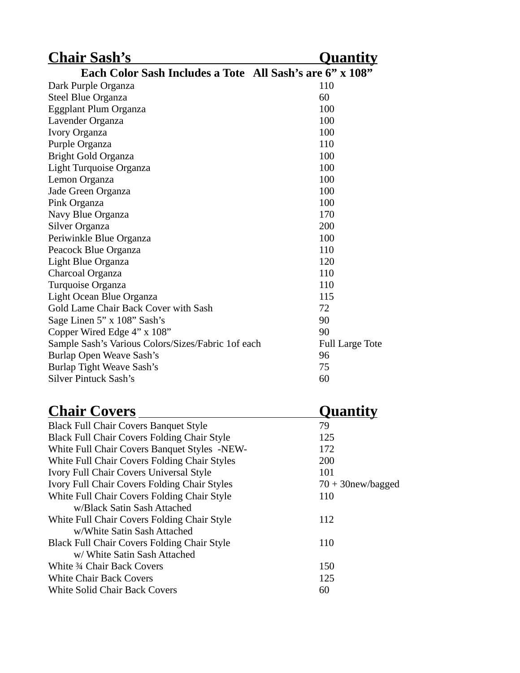| <b>Chair Sash's</b>                                      | <u>Quantity</u>        |
|----------------------------------------------------------|------------------------|
| Each Color Sash Includes a Tote All Sash's are 6" x 108" |                        |
| Dark Purple Organza                                      | 110                    |
| Steel Blue Organza                                       | 60                     |
| Eggplant Plum Organza                                    | 100                    |
| Lavender Organza                                         | 100                    |
| Ivory Organza                                            | 100                    |
| Purple Organza                                           | 110                    |
| <b>Bright Gold Organza</b>                               | 100                    |
| Light Turquoise Organza                                  | 100                    |
| Lemon Organza                                            | 100                    |
| Jade Green Organza                                       | 100                    |
| Pink Organza                                             | 100                    |
| Navy Blue Organza                                        | 170                    |
| Silver Organza                                           | 200                    |
| Periwinkle Blue Organza                                  | 100                    |
| Peacock Blue Organza                                     | 110                    |
| Light Blue Organza                                       | 120                    |
| Charcoal Organza                                         | 110                    |
| Turquoise Organza                                        | 110                    |
| Light Ocean Blue Organza                                 | 115                    |
| Gold Lame Chair Back Cover with Sash                     | 72                     |
| Sage Linen 5" x 108" Sash's                              | 90                     |
| Copper Wired Edge 4" x 108"                              | 90                     |
| Sample Sash's Various Colors/Sizes/Fabric 1of each       | <b>Full Large Tote</b> |
| Burlap Open Weave Sash's                                 | 96                     |
| Burlap Tight Weave Sash's                                | 75                     |
| <b>Silver Pintuck Sash's</b>                             | 60                     |

# **Chair Covers Quantity**

| <b>Black Full Chair Covers Banquet Style</b>       | 79                   |
|----------------------------------------------------|----------------------|
| <b>Black Full Chair Covers Folding Chair Style</b> | 125                  |
| White Full Chair Covers Banquet Styles -NEW-       | 172                  |
| White Full Chair Covers Folding Chair Styles       | 200                  |
| Ivory Full Chair Covers Universal Style            | 101                  |
| Ivory Full Chair Covers Folding Chair Styles       | $70 + 30$ new/bagged |
| White Full Chair Covers Folding Chair Style        | 110                  |
| w/Black Satin Sash Attached                        |                      |
| White Full Chair Covers Folding Chair Style        | 112                  |
| w/White Satin Sash Attached                        |                      |
| <b>Black Full Chair Covers Folding Chair Style</b> | 110                  |
| w/ White Satin Sash Attached                       |                      |
| White 34 Chair Back Covers                         | 150                  |
| <b>White Chair Back Covers</b>                     | 125                  |
| <b>White Solid Chair Back Covers</b>               | 60                   |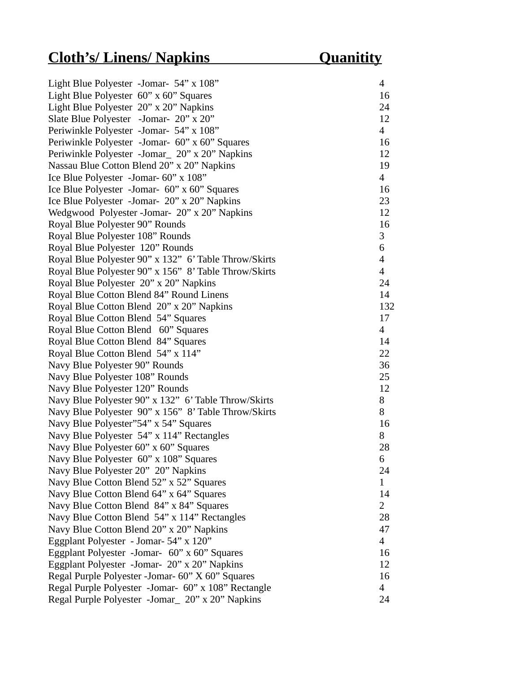| Light Blue Polyester -Jomar- 54" x 108"               | $\overline{\mathcal{A}}$ |
|-------------------------------------------------------|--------------------------|
| Light Blue Polyester 60" x 60" Squares                | 16                       |
| Light Blue Polyester 20" x 20" Napkins                | 24                       |
| Slate Blue Polyester -Jomar- 20" x 20"                | 12                       |
| Periwinkle Polyester -Jomar- 54" x 108"               | $\overline{4}$           |
| Periwinkle Polyester -Jomar- 60" x 60" Squares        | 16                       |
| Periwinkle Polyester -Jomar_ 20" x 20" Napkins        | 12                       |
| Nassau Blue Cotton Blend 20" x 20" Napkins            | 19                       |
| Ice Blue Polyester -Jomar- 60" x 108"                 | $\overline{4}$           |
| Ice Blue Polyester -Jomar- 60" x 60" Squares          | 16                       |
| Ice Blue Polyester -Jomar- 20" x 20" Napkins          | 23                       |
| Wedgwood Polyester - Jomar- 20" x 20" Napkins         | 12                       |
| Royal Blue Polyester 90" Rounds                       | 16                       |
| Royal Blue Polyester 108" Rounds                      | 3                        |
| Royal Blue Polyester 120" Rounds                      | 6                        |
| Royal Blue Polyester 90" x 132" 6' Table Throw/Skirts | $\overline{4}$           |
| Royal Blue Polyester 90" x 156" 8' Table Throw/Skirts | $\overline{4}$           |
| Royal Blue Polyester 20" x 20" Napkins                | 24                       |
| Royal Blue Cotton Blend 84" Round Linens              | 14                       |
| Royal Blue Cotton Blend 20" x 20" Napkins             | 132                      |
| Royal Blue Cotton Blend 54" Squares                   | 17                       |
| Royal Blue Cotton Blend 60" Squares                   | $\overline{4}$           |
| Royal Blue Cotton Blend 84" Squares                   | 14                       |
| Royal Blue Cotton Blend 54" x 114"                    | 22                       |
| Navy Blue Polyester 90" Rounds                        | 36                       |
| Navy Blue Polyester 108" Rounds                       | 25                       |
| Navy Blue Polyester 120" Rounds                       | 12                       |
| Navy Blue Polyester 90" x 132" 6' Table Throw/Skirts  | 8                        |
| Navy Blue Polyester 90" x 156" 8' Table Throw/Skirts  | 8                        |
| Navy Blue Polyester"54" x 54" Squares                 | 16                       |
| Navy Blue Polyester 54" x 114" Rectangles             | 8                        |
| Navy Blue Polyester 60" x 60" Squares                 | 28                       |
| Navy Blue Polyester 60" x 108" Squares                | 6                        |
| Navy Blue Polyester 20" 20" Napkins                   | 24                       |
| Navy Blue Cotton Blend 52" x 52" Squares              | $\mathbf{1}$             |
| Navy Blue Cotton Blend 64" x 64" Squares              | 14                       |
| Navy Blue Cotton Blend 84" x 84" Squares              | $\overline{2}$           |
| Navy Blue Cotton Blend 54" x 114" Rectangles          | 28                       |
| Navy Blue Cotton Blend 20" x 20" Napkins              | 47                       |
| Eggplant Polyester - Jomar- 54" x 120"                | $\overline{4}$           |
| Eggplant Polyester -Jomar- 60" x 60" Squares          | 16                       |
| Eggplant Polyester -Jomar- 20" x 20" Napkins          | 12                       |
| Regal Purple Polyester -Jomar- 60" X 60" Squares      | 16                       |
| Regal Purple Polyester -Jomar- 60" x 108" Rectangle   | $\overline{4}$           |
| Regal Purple Polyester -Jomar_ 20" x 20" Napkins      | 24                       |
|                                                       |                          |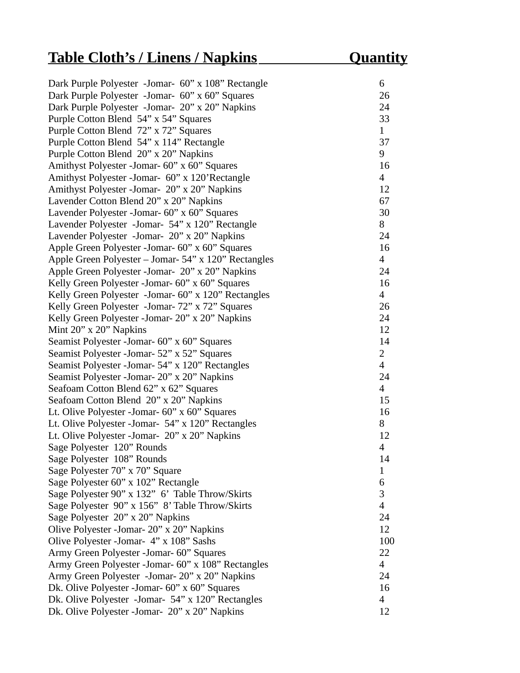# **Table Cloth's / Linens / Napkins Cluantity**

| Juantit |  |
|---------|--|
|         |  |
|         |  |

| Dark Purple Polyester -Jomar- 60" x 108" Rectangle   | 6              |
|------------------------------------------------------|----------------|
| Dark Purple Polyester -Jomar- 60" x 60" Squares      | 26             |
| Dark Purple Polyester -Jomar- 20" x 20" Napkins      | 24             |
| Purple Cotton Blend 54" x 54" Squares                | 33             |
| Purple Cotton Blend 72" x 72" Squares                | $\mathbf{1}$   |
| Purple Cotton Blend 54" x 114" Rectangle             | 37             |
| Purple Cotton Blend 20" x 20" Napkins                | 9              |
| Amithyst Polyester - Jomar - 60" x 60" Squares       | 16             |
| Amithyst Polyester - Jomar- 60" x 120'Rectangle      | $\overline{4}$ |
| Amithyst Polyester - Jomar- 20" x 20" Napkins        | 12             |
| Lavender Cotton Blend 20" x 20" Napkins              | 67             |
| Lavender Polyester - Jomar- 60" x 60" Squares        | 30             |
| Lavender Polyester - Jomar - 54" x 120" Rectangle    | 8              |
| Lavender Polyester -Jomar- 20" x 20" Napkins         | 24             |
| Apple Green Polyester - Jomar - 60" x 60" Squares    | 16             |
| Apple Green Polyester - Jomar- 54" x 120" Rectangles | $\overline{4}$ |
| Apple Green Polyester - Jomar- 20" x 20" Napkins     | 24             |
| Kelly Green Polyester - Jomar- 60" x 60" Squares     | 16             |
| Kelly Green Polyester -Jomar- 60" x 120" Rectangles  | $\overline{4}$ |
| Kelly Green Polyester -Jomar- 72" x 72" Squares      | 26             |
| Kelly Green Polyester - Jomar - 20" x 20" Napkins    | 24             |
| Mint $20''$ x $20''$ Napkins                         | 12             |
| Seamist Polyester - Jomar - 60" x 60" Squares        | 14             |
| Seamist Polyester - Jomar - 52" x 52" Squares        | $\overline{2}$ |
| Seamist Polyester - Jomar - 54" x 120" Rectangles    | $\overline{4}$ |
| Seamist Polyester - Jomar - 20" x 20" Napkins        | 24             |
| Seafoam Cotton Blend 62" x 62" Squares               | $\overline{4}$ |
| Seafoam Cotton Blend 20" x 20" Napkins               | 15             |
| Lt. Olive Polyester - Jomar - 60" x 60" Squares      | 16             |
| Lt. Olive Polyester - Jomar- 54" x 120" Rectangles   | 8              |
| Lt. Olive Polyester -Jomar- 20" x 20" Napkins        | 12             |
| Sage Polyester 120" Rounds                           | $\overline{4}$ |
| Sage Polyester 108" Rounds                           | 14             |
| Sage Polyester 70" x 70" Square                      | 1              |
| Sage Polyester 60" x 102" Rectangle                  | 6              |
| Sage Polyester 90" x 132" 6' Table Throw/Skirts      | 3              |
| Sage Polyester 90" x 156" 8' Table Throw/Skirts      | $\overline{4}$ |
| Sage Polyester 20" x 20" Napkins                     | 24             |
| Olive Polyester - Jomar - 20" x 20" Napkins          | 12             |
| Olive Polyester - Jomar- 4" x 108" Sashs             | 100            |
| Army Green Polyester -Jomar- 60" Squares             | 22             |
| Army Green Polyester -Jomar- 60" x 108" Rectangles   | $\overline{4}$ |
| Army Green Polyester -Jomar- 20" x 20" Napkins       | 24             |
| Dk. Olive Polyester - Jomar - 60" x 60" Squares      | 16             |
| Dk. Olive Polyester - Jomar- 54" x 120" Rectangles   | $\overline{4}$ |
| Dk. Olive Polyester - Jomar- 20" x 20" Napkins       | 12             |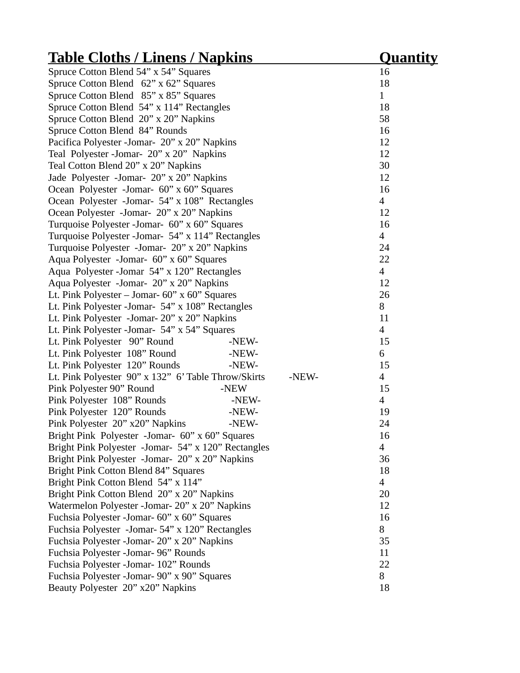| <u> Table Cloths / Linens / Napkins</u>                      | <u>Quantity</u>          |
|--------------------------------------------------------------|--------------------------|
| Spruce Cotton Blend 54" x 54" Squares                        | 16                       |
| Spruce Cotton Blend 62" x 62" Squares                        | 18                       |
| Spruce Cotton Blend 85" x 85" Squares                        | $\mathbf{1}$             |
| Spruce Cotton Blend 54" x 114" Rectangles                    | 18                       |
| Spruce Cotton Blend 20" x 20" Napkins                        | 58                       |
| Spruce Cotton Blend 84" Rounds                               | 16                       |
| Pacifica Polyester - Jomar- 20" x 20" Napkins                | 12                       |
| Teal Polyester-Jomar- 20" x 20" Napkins                      | 12                       |
| Teal Cotton Blend 20" x 20" Napkins                          | 30                       |
| Jade Polyester -Jomar- 20" x 20" Napkins                     | 12                       |
| Ocean Polyester -Jomar- 60" x 60" Squares                    | 16                       |
| Ocean Polyester -Jomar- 54" x 108" Rectangles                | $\overline{4}$           |
| Ocean Polyester -Jomar- 20" x 20" Napkins                    | 12                       |
| Turquoise Polyester - Jomar- 60" x 60" Squares               | 16                       |
| Turquoise Polyester - Jomar- 54" x 114" Rectangles           | $\overline{4}$           |
| Turquoise Polyester -Jomar- 20" x 20" Napkins                | 24                       |
| Aqua Polyester -Jomar- 60" x 60" Squares                     | 22                       |
| Aqua Polyester - Jomar 54" x 120" Rectangles                 | $\overline{\mathcal{A}}$ |
| Aqua Polyester -Jomar- 20" x 20" Napkins                     | 12                       |
| Lt. Pink Polyester - Jomar- $60$ " x $60$ " Squares          | 26                       |
| Lt. Pink Polyester - Jomar- 54" x 108" Rectangles            | 8                        |
| Lt. Pink Polyester -Jomar- 20" x 20" Napkins                 | 11                       |
| Lt. Pink Polyester - Jomar- 54" x 54" Squares                | $\overline{4}$           |
| Lt. Pink Polyester 90" Round<br>-NEW-                        | 15                       |
| Lt. Pink Polyester 108" Round<br>-NEW-                       | 6                        |
| Lt. Pink Polyester 120" Rounds<br>-NEW-                      | 15                       |
| Lt. Pink Polyester 90" x 132" 6' Table Throw/Skirts<br>-NEW- | $\overline{4}$           |
| Pink Polyester 90" Round<br>-NEW                             | 15                       |
| Pink Polyester 108" Rounds<br>-NEW-                          | $\overline{4}$           |
| Pink Polyester 120" Rounds<br>-NEW-                          | 19                       |
| Pink Polyester 20" x20" Napkins<br>-NEW-                     | 24                       |
| Bright Pink Polyester -Jomar- 60" x 60" Squares              | 16                       |
| Bright Pink Polyester -Jomar- 54" x 120" Rectangles          | 4                        |
| Bright Pink Polyester -Jomar- 20" x 20" Napkins              | 36                       |
| Bright Pink Cotton Blend 84" Squares                         | 18                       |
| Bright Pink Cotton Blend 54" x 114"                          | 4                        |
| Bright Pink Cotton Blend 20" x 20" Napkins                   | 20                       |
| Watermelon Polyester -Jomar- 20" x 20" Napkins               | 12                       |
| Fuchsia Polyester -Jomar- 60" x 60" Squares                  | 16                       |
| Fuchsia Polyester -Jomar- 54" x 120" Rectangles              | 8                        |
| Fuchsia Polyester - Jomar - 20" x 20" Napkins                | 35                       |
| Fuchsia Polyester -Jomar- 96" Rounds                         | 11                       |
| Fuchsia Polyester - Jomar- 102" Rounds                       | 22                       |
| Fuchsia Polyester - Jomar - 90" x 90" Squares                | 8                        |
| Beauty Polyester 20" x20" Napkins                            | 18                       |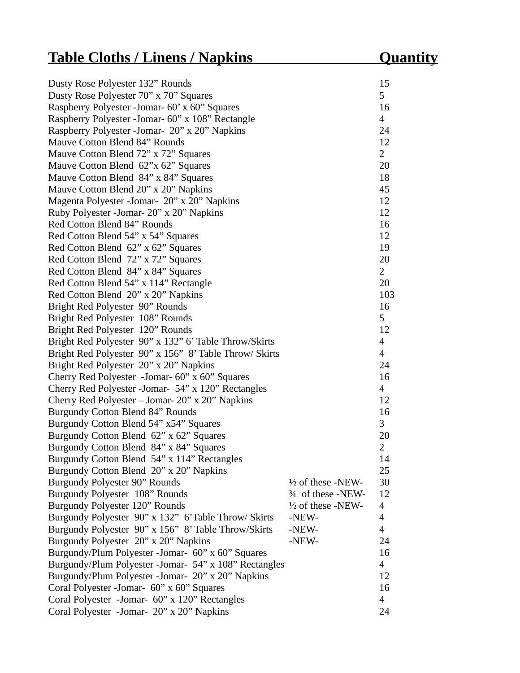# **Table Cloths / Linens / Napkins Quantity**

| Dusty Rose Polyester 132" Rounds                       |                              | 15             |
|--------------------------------------------------------|------------------------------|----------------|
| Dusty Rose Polyester 70" x 70" Squares                 |                              | 5              |
| Raspberry Polyester -Jomar- 60' x 60" Squares          |                              | 16             |
| Raspberry Polyester -Jomar- 60" x 108" Rectangle       |                              | $\overline{4}$ |
| Raspberry Polyester - Jomar- 20" x 20" Napkins         |                              | 24             |
| Mauve Cotton Blend 84" Rounds                          |                              | 12             |
| Mauve Cotton Blend 72" x 72" Squares                   |                              | $\overline{2}$ |
| Mauve Cotton Blend 62"x 62" Squares                    |                              | 20             |
| Mauve Cotton Blend 84" x 84" Squares                   |                              | 18             |
| Mauve Cotton Blend 20" x 20" Napkins                   |                              | 45             |
| Magenta Polyester - Jomar- 20" x 20" Napkins           |                              | 12             |
| Ruby Polyester - Jomar - 20" x 20" Napkins             |                              | 12             |
| Red Cotton Blend 84" Rounds                            |                              | 16             |
| Red Cotton Blend 54" x 54" Squares                     |                              | 12             |
| Red Cotton Blend 62" x 62" Squares                     |                              | 19             |
| Red Cotton Blend 72" x 72" Squares                     |                              | 20             |
| Red Cotton Blend 84" x 84" Squares                     |                              | $\overline{2}$ |
| Red Cotton Blend 54" x 114" Rectangle                  |                              | 20             |
| Red Cotton Blend 20" x 20" Napkins                     |                              | 103            |
| Bright Red Polyester 90" Rounds                        |                              | 16             |
| Bright Red Polyester 108" Rounds                       |                              | 5              |
| Bright Red Polyester 120" Rounds                       |                              | 12             |
| Bright Red Polyester 90" x 132" 6' Table Throw/Skirts  |                              | $\overline{4}$ |
| Bright Red Polyester 90" x 156" 8' Table Throw/ Skirts |                              | $\overline{4}$ |
| Bright Red Polyester 20" x 20" Napkins                 |                              | 24             |
| Cherry Red Polyester -Jomar- 60" x 60" Squares         |                              | 16             |
| Cherry Red Polyester - Jomar- 54" x 120" Rectangles    |                              | $\overline{4}$ |
| Cherry Red Polyester - Jomar- 20" x 20" Napkins        |                              | 12             |
| Burgundy Cotton Blend 84" Rounds                       |                              | 16             |
| Burgundy Cotton Blend 54" x54" Squares                 |                              | 3              |
| Burgundy Cotton Blend 62" x 62" Squares                |                              | 20             |
| Burgundy Cotton Blend 84" x 84" Squares                |                              | $\overline{2}$ |
| Burgundy Cotton Blend 54" x 114" Rectangles            |                              | 14             |
| Burgundy Cotton Blend 20" x 20" Napkins                |                              | 25             |
| Burgundy Polyester 90" Rounds                          | $\frac{1}{2}$ of these -NEW- | 30             |
| Burgundy Polyester 108" Rounds                         | 3⁄4 of these -NEW-           | 12             |
| Burgundy Polyester 120" Rounds                         | 1/2 of these -NEW-           | $\overline{4}$ |
| Burgundy Polyester 90" x 132" 6'Table Throw/ Skirts    | -NEW-                        | $\overline{4}$ |
| Burgundy Polyester 90" x 156" 8' Table Throw/Skirts    | -NEW-                        | $\overline{4}$ |
| Burgundy Polyester 20" x 20" Napkins                   | -NEW-                        | 24             |
| Burgundy/Plum Polyester -Jomar- 60" x 60" Squares      |                              | 16             |
| Burgundy/Plum Polyester -Jomar- 54" x 108" Rectangles  |                              | $\overline{4}$ |
| Burgundy/Plum Polyester -Jomar- 20" x 20" Napkins      |                              | 12             |
| Coral Polyester - Jomar- 60" x 60" Squares             |                              | 16             |
| Coral Polyester -Jomar- 60" x 120" Rectangles          |                              | $\overline{4}$ |
| Coral Polyester -Jomar- 20" x 20" Napkins              |                              | 24             |
|                                                        |                              |                |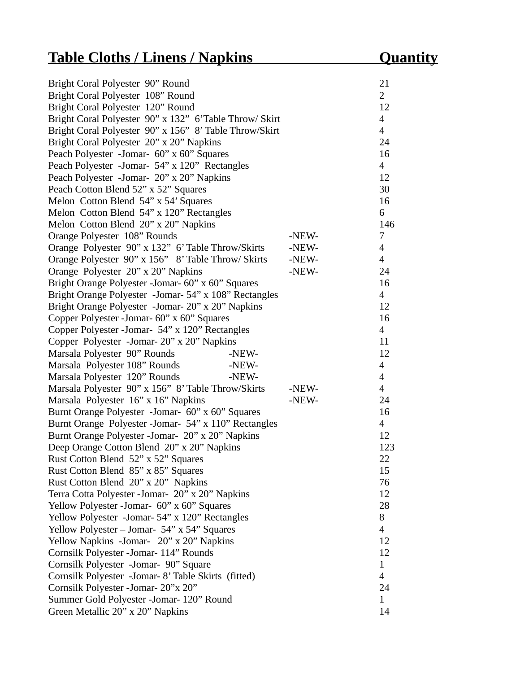| Bright Coral Polyester 90" Round                       |       | 21             |
|--------------------------------------------------------|-------|----------------|
| Bright Coral Polyester 108" Round                      |       | $\overline{2}$ |
| Bright Coral Polyester 120" Round                      |       | 12             |
| Bright Coral Polyester 90" x 132" 6'Table Throw/ Skirt |       | $\overline{4}$ |
| Bright Coral Polyester 90" x 156" 8' Table Throw/Skirt |       | $\overline{4}$ |
| Bright Coral Polyester 20" x 20" Napkins               |       | 24             |
| Peach Polyester -Jomar- 60" x 60" Squares              |       | 16             |
| Peach Polyester -Jomar- 54" x 120" Rectangles          |       | $\overline{4}$ |
| Peach Polyester -Jomar- 20" x 20" Napkins              |       | 12             |
| Peach Cotton Blend 52" x 52" Squares                   |       | 30             |
| Melon Cotton Blend 54" x 54' Squares                   |       | 16             |
| Melon Cotton Blend 54" x 120" Rectangles               |       | 6              |
| Melon Cotton Blend 20" x 20" Napkins                   |       | 146            |
| Orange Polyester 108" Rounds                           | -NEW- | 7              |
| Orange Polyester 90" x 132" 6' Table Throw/Skirts      | -NEW- | $\overline{4}$ |
| Orange Polyester 90" x 156" 8' Table Throw/ Skirts     | -NEW- | $\overline{4}$ |
| Orange Polyester 20" x 20" Napkins                     | -NEW- | 24             |
| Bright Orange Polyester - Jomar- 60" x 60" Squares     |       | 16             |
| Bright Orange Polyester -Jomar- 54" x 108" Rectangles  |       | $\overline{4}$ |
| Bright Orange Polyester -Jomar- 20" x 20" Napkins      |       | 12             |
| Copper Polyester -Jomar- 60" x 60" Squares             |       | 16             |
| Copper Polyester - Jomar- 54" x 120" Rectangles        |       | $\overline{4}$ |
| Copper Polyester -Jomar- 20" x 20" Napkins             |       | 11             |
| Marsala Polyester 90" Rounds<br>-NEW-                  |       | 12             |
| Marsala Polyester 108" Rounds<br>-NEW-                 |       | $\overline{4}$ |
| Marsala Polyester 120" Rounds<br>-NEW-                 |       | $\overline{4}$ |
| Marsala Polyester 90" x 156" 8' Table Throw/Skirts     | -NEW- | $\overline{4}$ |
| Marsala Polyester 16" x 16" Napkins                    | -NEW- | 24             |
| Burnt Orange Polyester -Jomar- 60" x 60" Squares       |       | 16             |
| Burnt Orange Polyester - Jomar- 54" x 110" Rectangles  |       | $\overline{4}$ |
| Burnt Orange Polyester - Jomar- 20" x 20" Napkins      |       | 12             |
| Deep Orange Cotton Blend 20" x 20" Napkins             |       | 123            |
| Rust Cotton Blend 52" x 52" Squares                    |       | 22             |
| Rust Cotton Blend 85" x 85" Squares                    |       | 15             |
| Rust Cotton Blend 20" x 20" Napkins                    |       | 76             |
| Terra Cotta Polyester -Jomar- 20" x 20" Napkins        |       | 12             |
| Yellow Polyester -Jomar- 60" x 60" Squares             |       | 28             |
| Yellow Polyester -Jomar- 54" x 120" Rectangles         |       | 8              |
| Yellow Polyester – Jomar- 54" x 54" Squares            |       | $\overline{4}$ |
| Yellow Napkins -Jomar- 20" x 20" Napkins               |       | 12             |
| Cornsilk Polyester - Jomar- 114" Rounds                |       | 12             |
| Cornsilk Polyester -Jomar- 90" Square                  |       | $\mathbf{1}$   |
| Cornsilk Polyester -Jomar- 8' Table Skirts (fitted)    |       | $\overline{4}$ |
| Cornsilk Polyester - Jomar- 20"x 20"                   |       | 24             |
| Summer Gold Polyester -Jomar- 120" Round               |       | $\mathbf{1}$   |
| Green Metallic 20" x 20" Napkins                       |       | 14             |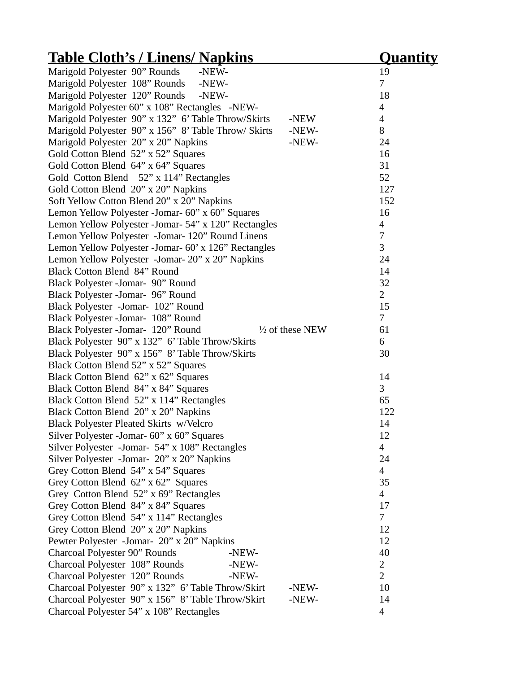| <u>Table Cloth's / Linens/ Napkins</u>                        | <u>Quantity</u>          |
|---------------------------------------------------------------|--------------------------|
| Marigold Polyester 90" Rounds<br>-NEW-                        | 19                       |
| Marigold Polyester 108" Rounds<br>-NEW-                       | 7                        |
| Marigold Polyester 120" Rounds<br>-NEW-                       | 18                       |
| Marigold Polyester 60" x 108" Rectangles -NEW-                | 4                        |
| Marigold Polyester 90" x 132" 6' Table Throw/Skirts<br>-NEW   | $\overline{\mathcal{A}}$ |
| Marigold Polyester 90" x 156" 8' Table Throw/ Skirts<br>-NEW- | 8                        |
| Marigold Polyester 20" x 20" Napkins<br>-NEW-                 | 24                       |
| Gold Cotton Blend 52" x 52" Squares                           | 16                       |
| Gold Cotton Blend 64" x 64" Squares                           | 31                       |
| Gold Cotton Blend 52" x 114" Rectangles                       | 52                       |
| Gold Cotton Blend 20" x 20" Napkins                           | 127                      |
| Soft Yellow Cotton Blend 20" x 20" Napkins                    | 152                      |
| Lemon Yellow Polyester - Jomar - 60" x 60" Squares            | 16                       |
| Lemon Yellow Polyester -Jomar- 54" x 120" Rectangles          | $\overline{\mathcal{A}}$ |
| Lemon Yellow Polyester -Jomar- 120" Round Linens              | 7                        |
| Lemon Yellow Polyester -Jomar- 60' x 126" Rectangles          | 3                        |
| Lemon Yellow Polyester -Jomar- 20" x 20" Napkins              | 24                       |
| <b>Black Cotton Blend 84" Round</b>                           | 14                       |
| Black Polyester -Jomar- 90" Round                             | 32                       |
| Black Polyester -Jomar- 96" Round                             | 2                        |
| Black Polyester -Jomar- 102" Round                            | 15                       |
| Black Polyester -Jomar- 108" Round                            | $\overline{7}$           |
| Black Polyester -Jomar- 120" Round<br>1/2 of these NEW        | 61                       |
| Black Polyester 90" x 132" 6' Table Throw/Skirts              | 6                        |
| Black Polyester 90" x 156" 8' Table Throw/Skirts              | 30                       |
| Black Cotton Blend 52" x 52" Squares                          |                          |
| Black Cotton Blend 62" x 62" Squares                          | 14                       |
| Black Cotton Blend 84" x 84" Squares                          | 3                        |
| Black Cotton Blend 52" x 114" Rectangles                      | 65                       |
| Black Cotton Blend 20" x 20" Napkins                          | 122                      |
| <b>Black Polyester Pleated Skirts w/Velcro</b>                | 14                       |
| Silver Polyester -Jomar- 60" x 60" Squares                    | 12                       |
| Silver Polyester -Jomar- 54" x 108" Rectangles                | $\overline{4}$           |
| Silver Polyester -Jomar- 20" x 20" Napkins                    | 24                       |
| Grey Cotton Blend 54" x 54" Squares                           | $\overline{4}$           |
| Grey Cotton Blend 62" x 62" Squares                           | 35                       |
| Grey Cotton Blend 52" x 69" Rectangles                        | $\overline{4}$           |
| Grey Cotton Blend 84" x 84" Squares                           | 17                       |
| Grey Cotton Blend 54" x 114" Rectangles                       | 7                        |
| Grey Cotton Blend 20" x 20" Napkins                           | 12                       |
| Pewter Polyester -Jomar- 20" x 20" Napkins                    | 12                       |
| Charcoal Polyester 90" Rounds<br>-NEW-                        | 40                       |
| Charcoal Polyester 108" Rounds<br>-NEW-                       | 2                        |
| Charcoal Polyester 120" Rounds<br>-NEW-                       | $\overline{2}$           |
| Charcoal Polyester 90" x 132" 6' Table Throw/Skirt<br>-NEW-   | 10                       |
| Charcoal Polyester 90" x 156" 8' Table Throw/Skirt<br>-NEW-   | 14                       |
| Charcoal Polyester 54" x 108" Rectangles                      | $\overline{\mathcal{A}}$ |
|                                                               |                          |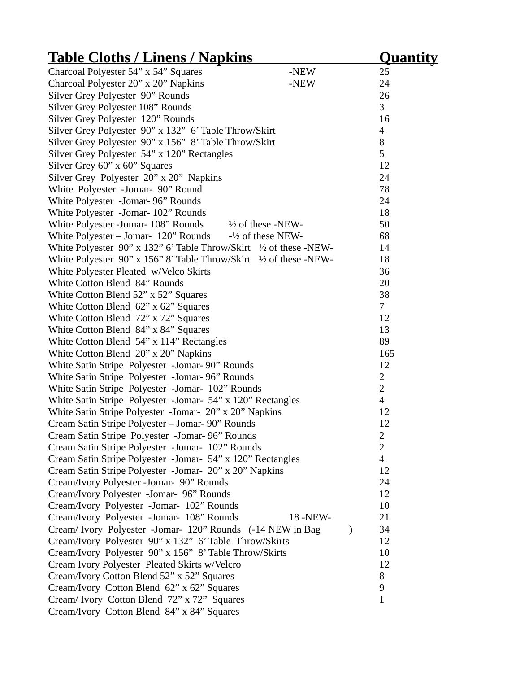| <u>Table Cloths / Linens / Napkins</u>                             |           |               | Quantity                 |  |
|--------------------------------------------------------------------|-----------|---------------|--------------------------|--|
| Charcoal Polyester 54" x 54" Squares                               | -NEW      |               | 25                       |  |
| Charcoal Polyester 20" x 20" Napkins                               | -NEW      |               | 24                       |  |
| Silver Grey Polyester 90" Rounds                                   |           |               | 26                       |  |
| Silver Grey Polyester 108" Rounds                                  |           |               | 3                        |  |
| Silver Grey Polyester 120" Rounds                                  |           |               | 16                       |  |
| Silver Grey Polyester 90" x 132" 6' Table Throw/Skirt              |           |               | $\overline{\mathcal{A}}$ |  |
| Silver Grey Polyester 90" x 156" 8' Table Throw/Skirt              |           |               | 8                        |  |
| Silver Grey Polyester 54" x 120" Rectangles                        |           |               | 5                        |  |
| Silver Grey 60" x 60" Squares                                      |           |               | 12                       |  |
| Silver Grey Polyester 20" x 20" Napkins                            |           |               | 24                       |  |
| White Polyester -Jomar- 90" Round                                  |           |               | 78                       |  |
| White Polyester -Jomar- 96" Rounds                                 |           |               | 24                       |  |
| White Polyester -Jomar- 102" Rounds                                |           |               | 18                       |  |
| White Polyester -Jomar- 108" Rounds $\frac{1}{2}$ of these -NEW-   |           |               | 50                       |  |
| White Polyester - Jomar- 120" Rounds - 1/2 of these NEW-           |           |               | 68                       |  |
| White Polyester 90" x 132" 6' Table Throw/Skirt 1/2 of these -NEW- |           |               | 14                       |  |
| White Polyester 90" x 156" 8' Table Throw/Skirt 1/2 of these -NEW- |           |               | 18                       |  |
| White Polyester Pleated w/Velco Skirts                             |           |               | 36                       |  |
| White Cotton Blend 84" Rounds                                      |           |               | 20                       |  |
| White Cotton Blend 52" x 52" Squares                               |           |               | 38                       |  |
| White Cotton Blend $62$ " x $62$ " Squares                         |           |               | 7                        |  |
| White Cotton Blend 72" x 72" Squares                               |           |               | 12                       |  |
| White Cotton Blend 84" x 84" Squares                               |           |               | 13                       |  |
| White Cotton Blend 54" x 114" Rectangles                           |           |               | 89                       |  |
| White Cotton Blend 20" x 20" Napkins                               |           |               | 165                      |  |
| White Satin Stripe Polyester -Jomar- 90" Rounds                    |           |               | 12                       |  |
| White Satin Stripe Polyester -Jomar- 96" Rounds                    |           |               | $\overline{2}$           |  |
| White Satin Stripe Polyester -Jomar- 102" Rounds                   |           |               | $\overline{2}$           |  |
| White Satin Stripe Polyester -Jomar- 54" x 120" Rectangles         |           |               | $\overline{4}$           |  |
| White Satin Stripe Polyester -Jomar- 20" x 20" Napkins             |           |               | 12                       |  |
| Cream Satin Stripe Polyester - Jomar- 90" Rounds                   |           |               | 12                       |  |
| Cream Satin Stripe Polyester -Jomar-96" Rounds                     |           |               | 2                        |  |
| Cream Satin Stripe Polyester -Jomar- 102" Rounds                   |           |               | $\overline{2}$           |  |
| Cream Satin Stripe Polyester -Jomar- 54" x 120" Rectangles         |           |               | $\overline{\mathcal{A}}$ |  |
| Cream Satin Stripe Polyester -Jomar- 20" x 20" Napkins             |           |               | 12                       |  |
| Cream/Ivory Polyester -Jomar- 90" Rounds                           |           |               | 24                       |  |
| Cream/Ivory Polyester -Jomar- 96" Rounds                           |           |               | 12                       |  |
| Cream/Ivory Polyester -Jomar- 102" Rounds                          |           |               | 10                       |  |
| Cream/Ivory Polyester -Jomar- 108" Rounds                          | 18 - NEW- |               | 21                       |  |
| Cream/ Ivory Polyester -Jomar- 120" Rounds (-14 NEW in Bag         |           | $\mathcal{E}$ | 34                       |  |
| Cream/Ivory Polyester 90" x 132" 6' Table Throw/Skirts             |           |               | 12                       |  |
| Cream/Ivory Polyester 90" x 156" 8' Table Throw/Skirts             |           |               | 10                       |  |
| Cream Ivory Polyester Pleated Skirts w/Velcro                      |           |               | 12                       |  |
| Cream/Ivory Cotton Blend 52" x 52" Squares                         |           |               | 8                        |  |
| Cream/Ivory Cotton Blend 62" x 62" Squares                         |           |               | 9                        |  |
| Cream/ Ivory Cotton Blend 72" x 72" Squares                        |           |               | $\mathbf{1}$             |  |
| Cream/Ivory Cotton Blend 84" x 84" Squares                         |           |               |                          |  |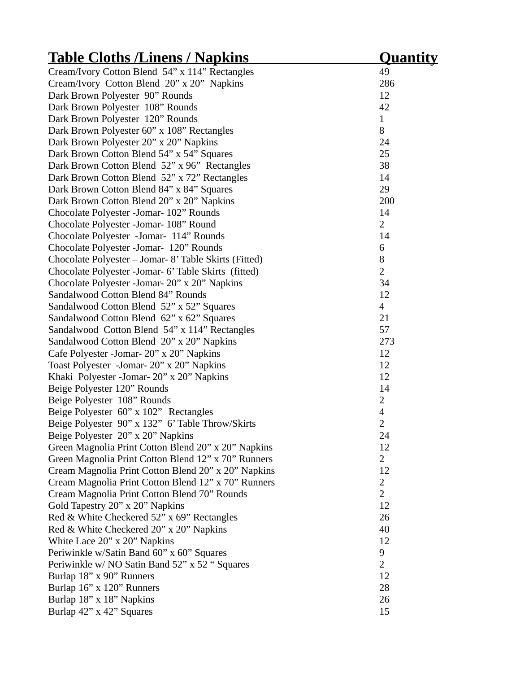| <u> Table Cloths /Linens / Napkins</u>                | Quantity                 |
|-------------------------------------------------------|--------------------------|
| Cream/Ivory Cotton Blend 54" x 114" Rectangles        | 49                       |
| Cream/Ivory Cotton Blend 20" x 20" Napkins            | 286                      |
| Dark Brown Polyester 90" Rounds                       | 12                       |
| Dark Brown Polyester 108" Rounds                      | 42                       |
| Dark Brown Polyester 120" Rounds                      | $\mathbf{1}$             |
| Dark Brown Polyester 60" x 108" Rectangles            | 8                        |
| Dark Brown Polyester 20" x 20" Napkins                | 24                       |
| Dark Brown Cotton Blend 54" x 54" Squares             | 25                       |
| Dark Brown Cotton Blend 52" x 96" Rectangles          | 38                       |
| Dark Brown Cotton Blend 52" x 72" Rectangles          | 14                       |
| Dark Brown Cotton Blend 84" x 84" Squares             | 29                       |
| Dark Brown Cotton Blend 20" x 20" Napkins             | 200                      |
| Chocolate Polyester - Jomar- 102" Rounds              | 14                       |
| Chocolate Polyester - Jomar- 108" Round               | 2                        |
| Chocolate Polyester -Jomar- 114" Rounds               | 14                       |
| Chocolate Polyester - Jomar- 120" Rounds              | 6                        |
| Chocolate Polyester - Jomar- 8' Table Skirts (Fitted) | 8                        |
| Chocolate Polyester - Jomar- 6' Table Skirts (fitted) | $\overline{2}$           |
| Chocolate Polyester - Jomar - 20" x 20" Napkins       | 34                       |
| Sandalwood Cotton Blend 84" Rounds                    | 12                       |
| Sandalwood Cotton Blend 52" x 52" Squares             | $\overline{4}$           |
| Sandalwood Cotton Blend 62" x 62" Squares             | 21                       |
| Sandalwood Cotton Blend 54" x 114" Rectangles         | 57                       |
| Sandalwood Cotton Blend 20" x 20" Napkins             | 273                      |
| Cafe Polyester - Jomar - 20" x 20" Napkins            | 12                       |
| Toast Polyester -Jomar- 20" x 20" Napkins             | 12                       |
| Khaki Polyester - Jomar - 20" x 20" Napkins           | 12                       |
| Beige Polyester 120" Rounds                           | 14                       |
| Beige Polyester 108" Rounds                           | 2                        |
| Beige Polyester 60" x 102" Rectangles                 | $\overline{\mathcal{A}}$ |
| Beige Polyester 90" x 132" 6' Table Throw/Skirts      | $\overline{2}$           |
| Beige Polyester 20" x 20" Napkins                     | 24                       |
| Green Magnolia Print Cotton Blend 20" x 20" Napkins   | 12                       |
| Green Magnolia Print Cotton Blend 12" x 70" Runners   | 2                        |
| Cream Magnolia Print Cotton Blend 20" x 20" Napkins   | 12                       |
| Cream Magnolia Print Cotton Blend 12" x 70" Runners   | 2                        |
| Cream Magnolia Print Cotton Blend 70" Rounds          | $\overline{2}$           |
| Gold Tapestry 20" x 20" Napkins                       | 12                       |
| Red & White Checkered 52" x 69" Rectangles            | 26                       |
| Red & White Checkered 20" x 20" Napkins               | 40                       |
| White Lace 20" x 20" Napkins                          | 12                       |
| Periwinkle w/Satin Band 60" x 60" Squares             | 9                        |
| Periwinkle w/ NO Satin Band 52" x 52 " Squares        | $\overline{2}$           |
| Burlap 18" x 90" Runners                              | 12                       |
| Burlap 16" x 120" Runners                             | 28                       |
| Burlap 18" x 18" Napkins                              | 26                       |
| Burlap 42" x 42" Squares                              | 15                       |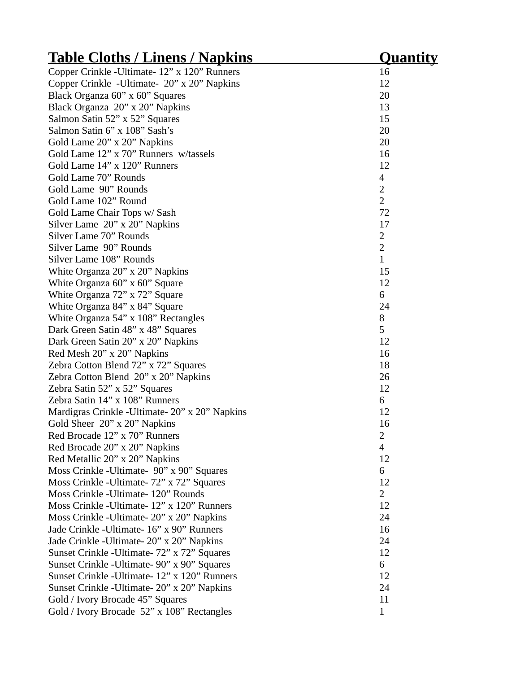| <u> Table Cloths / Linens / Napkins</u>          | <u>Quantity</u> |
|--------------------------------------------------|-----------------|
| Copper Crinkle - Ultimate - 12" x 120" Runners   | 16              |
| Copper Crinkle - Ultimate- 20" x 20" Napkins     | 12              |
| Black Organza 60" x 60" Squares                  | 20              |
| Black Organza 20" x 20" Napkins                  | 13              |
| Salmon Satin 52" x 52" Squares                   | 15              |
| Salmon Satin 6" x 108" Sash's                    | 20              |
| Gold Lame 20" x 20" Napkins                      | 20              |
| Gold Lame 12" x 70" Runners w/tassels            | 16              |
| Gold Lame 14" x 120" Runners                     | 12              |
| Gold Lame 70" Rounds                             | $\overline{4}$  |
| Gold Lame 90" Rounds                             | $\overline{2}$  |
| Gold Lame 102" Round                             | $\overline{2}$  |
| Gold Lame Chair Tops w/ Sash                     | 72              |
| Silver Lame 20" x 20" Napkins                    | 17              |
| Silver Lame 70" Rounds                           | $\overline{2}$  |
| Silver Lame 90" Rounds                           | $\overline{2}$  |
| Silver Lame 108" Rounds                          | $\mathbf{1}$    |
| White Organza 20" x 20" Napkins                  | 15              |
| White Organza 60" x 60" Square                   | 12              |
| White Organza 72" x 72" Square                   | 6               |
| White Organza 84" x 84" Square                   | 24              |
| White Organza 54" x 108" Rectangles              | 8               |
| Dark Green Satin 48" x 48" Squares               | 5               |
| Dark Green Satin 20" x 20" Napkins               | 12              |
| Red Mesh 20" x 20" Napkins                       | 16              |
| Zebra Cotton Blend 72" x 72" Squares             | 18              |
| Zebra Cotton Blend 20" x 20" Napkins             | 26              |
| Zebra Satin 52" x 52" Squares                    | 12              |
| Zebra Satin 14" x 108" Runners                   | 6               |
| Mardigras Crinkle - Ultimate - 20" x 20" Napkins | 12              |
| Gold Sheer 20" x 20" Napkins                     | 16              |
| Red Brocade 12" x 70" Runners                    | 2               |
| Red Brocade 20" x 20" Napkins                    | 4               |
| Red Metallic 20" x 20" Napkins                   | 12              |
| Moss Crinkle - Ultimate- 90" x 90" Squares       | 6               |
| Moss Crinkle - Ultimate - 72" x 72" Squares      | 12              |
| Moss Crinkle - Ultimate - 120" Rounds            | 2               |
| Moss Crinkle - Ultimate - 12" x 120" Runners     | 12              |
| Moss Crinkle - Ultimate - 20" x 20" Napkins      | 24              |
| Jade Crinkle - Ultimate - 16" x 90" Runners      | 16              |
| Jade Crinkle - Ultimate - 20" x 20" Napkins      | 24              |
| Sunset Crinkle - Ultimate - 72" x 72" Squares    | 12              |
| Sunset Crinkle - Ultimate - 90" x 90" Squares    | 6               |
| Sunset Crinkle - Ultimate - 12" x 120" Runners   | 12              |
| Sunset Crinkle - Ultimate - 20" x 20" Napkins    | 24              |
| Gold / Ivory Brocade 45" Squares                 | 11              |
| Gold / Ivory Brocade 52" x 108" Rectangles       | $\mathbf{1}$    |
|                                                  |                 |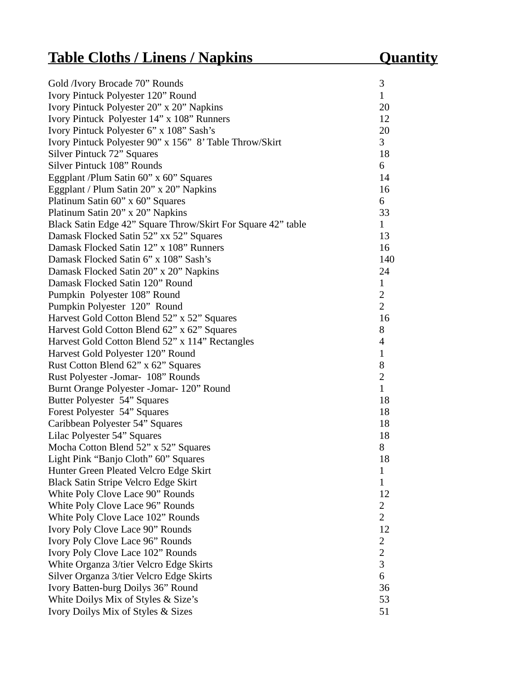# **Table Cloths / Linens / Napkins Quantity**

| Gold /Ivory Brocade 70" Rounds                               | 3              |
|--------------------------------------------------------------|----------------|
| Ivory Pintuck Polyester 120" Round                           | $\mathbf{1}$   |
| Ivory Pintuck Polyester 20" x 20" Napkins                    | 20             |
| Ivory Pintuck Polyester 14" x 108" Runners                   | 12             |
| Ivory Pintuck Polyester 6" x 108" Sash's                     | 20             |
| Ivory Pintuck Polyester 90" x 156" 8' Table Throw/Skirt      | 3              |
| Silver Pintuck 72" Squares                                   | 18             |
| Silver Pintuck 108" Rounds                                   | 6              |
| Eggplant /Plum Satin 60" x 60" Squares                       | 14             |
| Eggplant / Plum Satin 20" x 20" Napkins                      | 16             |
| Platinum Satin 60" x 60" Squares                             | 6              |
| Platinum Satin 20" x 20" Napkins                             | 33             |
| Black Satin Edge 42" Square Throw/Skirt For Square 42" table | $\mathbf{1}$   |
| Damask Flocked Satin 52" xx 52" Squares                      | 13             |
| Damask Flocked Satin 12" x 108" Runners                      | 16             |
| Damask Flocked Satin 6" x 108" Sash's                        | 140            |
| Damask Flocked Satin 20" x 20" Napkins                       | 24             |
| Damask Flocked Satin 120" Round                              | $\mathbf{1}$   |
| Pumpkin Polyester 108" Round                                 | $\overline{2}$ |
| Pumpkin Polyester 120" Round                                 | $\overline{2}$ |
| Harvest Gold Cotton Blend 52" x 52" Squares                  | 16             |
| Harvest Gold Cotton Blend 62" x 62" Squares                  | 8              |
| Harvest Gold Cotton Blend 52" x 114" Rectangles              | $\overline{4}$ |
| Harvest Gold Polyester 120" Round                            | $\mathbf{1}$   |
| Rust Cotton Blend 62" x 62" Squares                          | 8              |
| Rust Polyester - Jomar- 108" Rounds                          | $\overline{2}$ |
| Burnt Orange Polyester - Jomar - 120" Round                  | $\mathbf{1}$   |
| Butter Polyester 54" Squares                                 | 18             |
| Forest Polyester 54" Squares                                 | 18             |
| Caribbean Polyester 54" Squares                              | 18             |
| Lilac Polyester 54" Squares                                  | 18             |
| Mocha Cotton Blend 52" x 52" Squares                         | 8              |
| Light Pink "Banjo Cloth" 60" Squares                         | 18             |
| Hunter Green Pleated Velcro Edge Skirt                       | $\mathbf{1}$   |
| <b>Black Satin Stripe Velcro Edge Skirt</b>                  | $\mathbf{1}$   |
| White Poly Clove Lace 90" Rounds                             | 12             |
| White Poly Clove Lace 96" Rounds                             | $\overline{2}$ |
| White Poly Clove Lace 102" Rounds                            | 2              |
| Ivory Poly Clove Lace 90" Rounds                             | 12             |
| Ivory Poly Clove Lace 96" Rounds                             | $\overline{2}$ |
| Ivory Poly Clove Lace 102" Rounds                            | $\overline{2}$ |
| White Organza 3/tier Velcro Edge Skirts                      | 3              |
| Silver Organza 3/tier Velcro Edge Skirts                     | 6              |
| Ivory Batten-burg Doilys 36" Round                           | 36             |
| White Doilys Mix of Styles & Size's                          | 53             |
| Ivory Doilys Mix of Styles & Sizes                           | 51             |
|                                                              |                |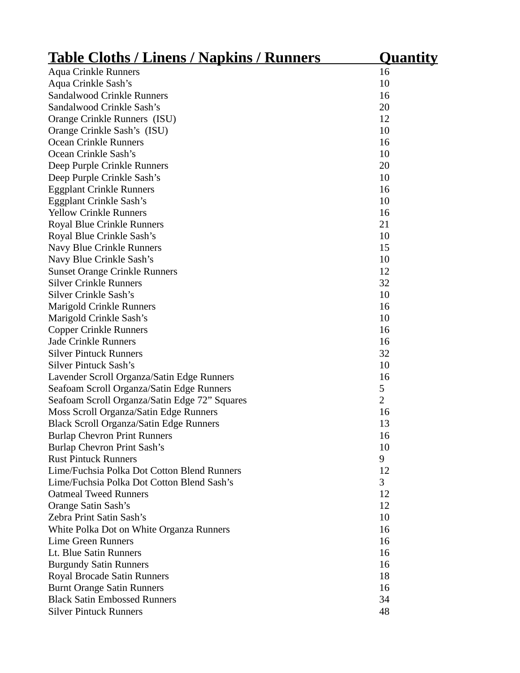| <u> Table Cloths / Linens / Napkins / Runners</u> | <u>Quantity</u> |
|---------------------------------------------------|-----------------|
| <b>Aqua Crinkle Runners</b>                       | 16              |
| Aqua Crinkle Sash's                               | 10              |
| Sandalwood Crinkle Runners                        | 16              |
| Sandalwood Crinkle Sash's                         | 20              |
| Orange Crinkle Runners (ISU)                      | 12              |
| Orange Crinkle Sash's (ISU)                       | 10              |
| <b>Ocean Crinkle Runners</b>                      | 16              |
| Ocean Crinkle Sash's                              | 10              |
| Deep Purple Crinkle Runners                       | 20              |
| Deep Purple Crinkle Sash's                        | 10              |
| <b>Eggplant Crinkle Runners</b>                   | 16              |
| Eggplant Crinkle Sash's                           | 10              |
| <b>Yellow Crinkle Runners</b>                     | 16              |
| <b>Royal Blue Crinkle Runners</b>                 | 21              |
| Royal Blue Crinkle Sash's                         | 10              |
| Navy Blue Crinkle Runners                         | 15              |
| Navy Blue Crinkle Sash's                          | 10              |
| <b>Sunset Orange Crinkle Runners</b>              | 12              |
| <b>Silver Crinkle Runners</b>                     | 32              |
| <b>Silver Crinkle Sash's</b>                      | 10              |
| <b>Marigold Crinkle Runners</b>                   | 16              |
| Marigold Crinkle Sash's                           | 10              |
| <b>Copper Crinkle Runners</b>                     | 16              |
| <b>Jade Crinkle Runners</b>                       | 16              |
| <b>Silver Pintuck Runners</b>                     | 32              |
| <b>Silver Pintuck Sash's</b>                      | 10              |
| Lavender Scroll Organza/Satin Edge Runners        | 16              |
| Seafoam Scroll Organza/Satin Edge Runners         | 5               |
| Seafoam Scroll Organza/Satin Edge 72" Squares     | 2               |
| Moss Scroll Organza/Satin Edge Runners            | 16              |
| Black Scroll Organza/Satin Edge Runners           | 13              |
| <b>Burlap Chevron Print Runners</b>               | 16              |
| Burlap Chevron Print Sash's                       | 10              |
| <b>Rust Pintuck Runners</b>                       | 9               |
| Lime/Fuchsia Polka Dot Cotton Blend Runners       | 12              |
| Lime/Fuchsia Polka Dot Cotton Blend Sash's        | 3               |
| <b>Oatmeal Tweed Runners</b>                      | 12              |
| Orange Satin Sash's                               | 12              |
| Zebra Print Satin Sash's                          | 10              |
| White Polka Dot on White Organza Runners          | 16              |
| <b>Lime Green Runners</b>                         | 16              |
| Lt. Blue Satin Runners                            | 16              |
| <b>Burgundy Satin Runners</b>                     | 16              |
| Royal Brocade Satin Runners                       | 18              |
| <b>Burnt Orange Satin Runners</b>                 | 16              |
| <b>Black Satin Embossed Runners</b>               | 34              |
| <b>Silver Pintuck Runners</b>                     | 48              |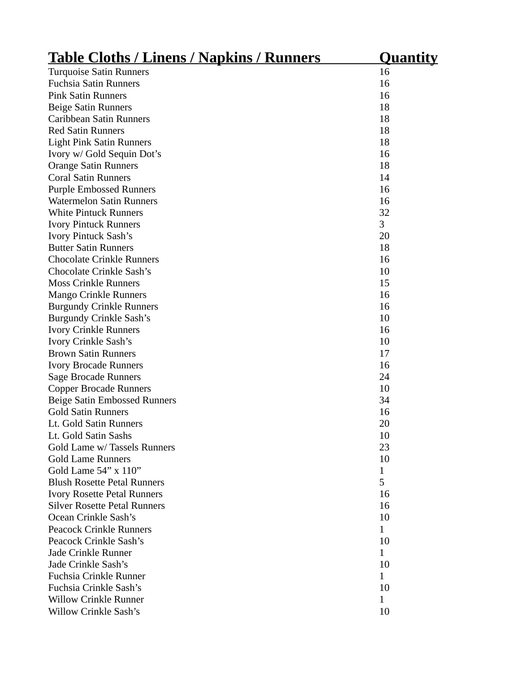| <u> Table Cloths / Linens / Napkins / Runners</u> | <u>Quantity</u> |
|---------------------------------------------------|-----------------|
| <b>Turquoise Satin Runners</b>                    | 16              |
| <b>Fuchsia Satin Runners</b>                      | 16              |
| <b>Pink Satin Runners</b>                         | 16              |
| <b>Beige Satin Runners</b>                        | 18              |
| Caribbean Satin Runners                           | 18              |
| <b>Red Satin Runners</b>                          | 18              |
| <b>Light Pink Satin Runners</b>                   | 18              |
| Ivory w/ Gold Sequin Dot's                        | 16              |
| <b>Orange Satin Runners</b>                       | 18              |
| <b>Coral Satin Runners</b>                        | 14              |
| <b>Purple Embossed Runners</b>                    | 16              |
| <b>Watermelon Satin Runners</b>                   | 16              |
| <b>White Pintuck Runners</b>                      | 32              |
| <b>Ivory Pintuck Runners</b>                      | 3               |
| <b>Ivory Pintuck Sash's</b>                       | 20              |
| <b>Butter Satin Runners</b>                       | 18              |
| <b>Chocolate Crinkle Runners</b>                  | 16              |
| <b>Chocolate Crinkle Sash's</b>                   | 10              |
| <b>Moss Crinkle Runners</b>                       | 15              |
| <b>Mango Crinkle Runners</b>                      | 16              |
| <b>Burgundy Crinkle Runners</b>                   | 16              |
| <b>Burgundy Crinkle Sash's</b>                    | 10              |
| <b>Ivory Crinkle Runners</b>                      | 16              |
| <b>Ivory Crinkle Sash's</b>                       | 10              |
| <b>Brown Satin Runners</b>                        | 17              |
| <b>Ivory Brocade Runners</b>                      | 16              |
| <b>Sage Brocade Runners</b>                       | 24              |
| <b>Copper Brocade Runners</b>                     | 10              |
| <b>Beige Satin Embossed Runners</b>               | 34              |
| <b>Gold Satin Runners</b>                         | 16              |
| Lt. Gold Satin Runners                            | 20              |
| Lt. Gold Satin Sashs                              | 10              |
| Gold Lame w/ Tassels Runners                      | 23              |
| <b>Gold Lame Runners</b>                          | 10              |
| Gold Lame 54" x 110"                              | $\mathbf{1}$    |
| <b>Blush Rosette Petal Runners</b>                | 5               |
| <b>Ivory Rosette Petal Runners</b>                | 16              |
| <b>Silver Rosette Petal Runners</b>               | 16              |
| Ocean Crinkle Sash's                              | 10              |
| <b>Peacock Crinkle Runners</b>                    | $\mathbf{1}$    |
| Peacock Crinkle Sash's                            | 10              |
| Jade Crinkle Runner                               | $\mathbf{1}$    |
| Jade Crinkle Sash's                               | 10              |
| <b>Fuchsia Crinkle Runner</b>                     | $\mathbf{1}$    |
| Fuchsia Crinkle Sash's                            | 10              |
| <b>Willow Crinkle Runner</b>                      | $\mathbf{1}$    |
| <b>Willow Crinkle Sash's</b>                      | 10              |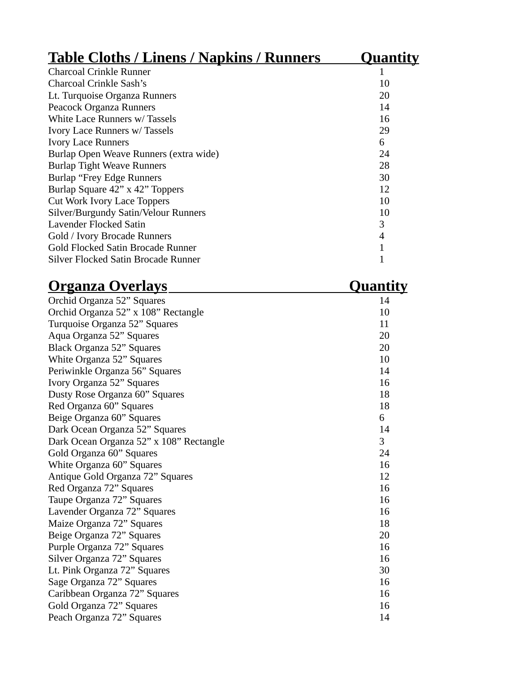| <u>Table Cloths / Linens / Napkins / Runners</u> | <b>Quantity</b> |
|--------------------------------------------------|-----------------|
| <b>Charcoal Crinkle Runner</b>                   | 1               |
| Charcoal Crinkle Sash's                          | 10              |
| Lt. Turquoise Organza Runners                    | 20              |
| Peacock Organza Runners                          | 14              |
| White Lace Runners w/Tassels                     | 16              |
| Ivory Lace Runners w/Tassels                     | 29              |
| <b>Ivory Lace Runners</b>                        | 6               |
| Burlap Open Weave Runners (extra wide)           | 24              |
| <b>Burlap Tight Weave Runners</b>                | 28              |
| Burlap "Frey Edge Runners"                       | 30              |
| Burlap Square 42" x 42" Toppers                  | 12              |
| Cut Work Ivory Lace Toppers                      | 10              |
| Silver/Burgundy Satin/Velour Runners             | 10              |
| Lavender Flocked Satin                           | 3               |
| Gold / Ivory Brocade Runners                     | 4               |
| Gold Flocked Satin Brocade Runner                | 1               |
| Silver Flocked Satin Brocade Runner              | 1               |

| <u> Organza Overlays</u>                | <u>Quantity</u> |
|-----------------------------------------|-----------------|
| Orchid Organza 52" Squares              | 14              |
| Orchid Organza 52" x 108" Rectangle     | 10              |
| Turquoise Organza 52" Squares           | 11              |
| Aqua Organza 52" Squares                | 20              |
| Black Organza 52" Squares               | 20              |
| White Organza 52" Squares               | 10              |
| Periwinkle Organza 56" Squares          | 14              |
| Ivory Organza 52" Squares               | 16              |
| Dusty Rose Organza 60" Squares          | 18              |
| Red Organza 60" Squares                 | 18              |
| Beige Organza 60" Squares               | 6               |
| Dark Ocean Organza 52" Squares          | 14              |
| Dark Ocean Organza 52" x 108" Rectangle | 3               |
| Gold Organza 60" Squares                | 24              |
| White Organza 60" Squares               | 16              |
| Antique Gold Organza 72" Squares        | 12              |
| Red Organza 72" Squares                 | 16              |
| Taupe Organza 72" Squares               | 16              |
| Lavender Organza 72" Squares            | 16              |
| Maize Organza 72" Squares               | 18              |
| Beige Organza 72" Squares               | 20              |
| Purple Organza 72" Squares              | 16              |
| Silver Organza 72" Squares              | 16              |
| Lt. Pink Organza 72" Squares            | 30              |
| Sage Organza 72" Squares                | 16              |
| Caribbean Organza 72" Squares           | 16              |
| Gold Organza 72" Squares                | 16              |
| Peach Organza 72" Squares               | 14              |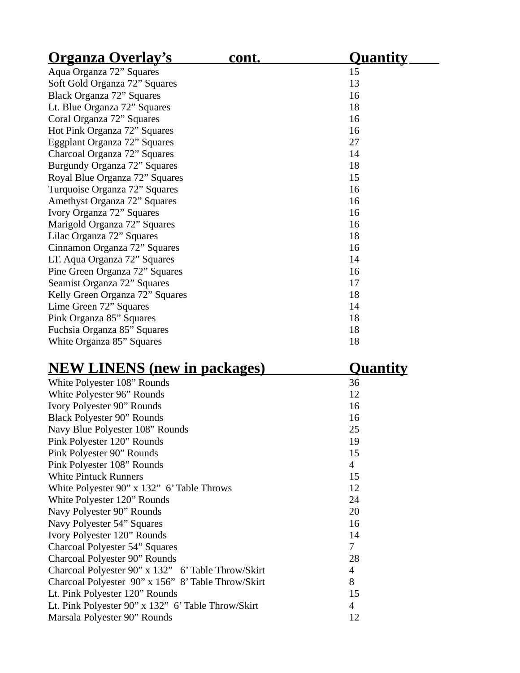| <u> Organza Overlay's</u>       | cont. | <u>Quantity</u> |
|---------------------------------|-------|-----------------|
| Aqua Organza 72" Squares        |       | 15              |
| Soft Gold Organza 72" Squares   |       | 13              |
| Black Organza 72" Squares       |       | 16              |
| Lt. Blue Organza 72" Squares    |       | 18              |
| Coral Organza 72" Squares       |       | 16              |
| Hot Pink Organza 72" Squares    |       | 16              |
| Eggplant Organza 72" Squares    |       | 27              |
| Charcoal Organza 72" Squares    |       | 14              |
| Burgundy Organza 72" Squares    |       | 18              |
| Royal Blue Organza 72" Squares  |       | 15              |
| Turquoise Organza 72" Squares   |       | 16              |
| Amethyst Organza 72" Squares    |       | 16              |
| Ivory Organza 72" Squares       |       | 16              |
| Marigold Organza 72" Squares    |       | 16              |
| Lilac Organza 72" Squares       |       | 18              |
| Cinnamon Organza 72" Squares    |       | 16              |
| LT. Aqua Organza 72" Squares    |       | 14              |
| Pine Green Organza 72" Squares  |       | 16              |
| Seamist Organza 72" Squares     |       | 17              |
| Kelly Green Organza 72" Squares |       | 18              |
| Lime Green 72" Squares          |       | 14              |
| Pink Organza 85" Squares        |       | 18              |
| Fuchsia Organza 85" Squares     |       | 18              |
| White Organza 85" Squares       |       | 18              |

| <b>NEW LINENS (new in packages)</b>        | <u>Quantity</u> |
|--------------------------------------------|-----------------|
| White Polyester 108" Rounds                | 36              |
| White Polyester 96" Rounds                 | 12              |
| Ivory Polyester 90" Rounds                 | 16              |
| <b>Black Polyester 90" Rounds</b>          | 16              |
| Navy Blue Polyester 108" Rounds            | 25              |
| Pink Polyester 120" Rounds                 | 19              |
| Pink Polyester 90" Rounds                  | 15              |
| Pink Polyester 108" Rounds                 | 4               |
| <b>White Pintuck Runners</b>               | 15              |
| White Polyester 90" x 132" 6' Table Throws | 12              |
| White Polyester 120" Rounds                | 24              |
| Navy Polyester 90" Rounds                  | 20              |
| Navy Polyester 54" Squares                 | 16              |
| $T_{\text{max}}$ Delector 4002 December    | 11              |

| Navy Polyester 54" Squares                         | 16 |
|----------------------------------------------------|----|
| Ivory Polyester 120" Rounds                        | 14 |
| Charcoal Polyester 54" Squares                     | 7  |
| Charcoal Polyester 90" Rounds                      | 28 |
| Charcoal Polyester 90" x 132" 6' Table Throw/Skirt | 4  |
| Charcoal Polyester 90" x 156" 8' Table Throw/Skirt | 8  |
| Lt. Pink Polyester 120" Rounds                     | 15 |
| Lt. Pink Polyester 90" x 132" 6' Table Throw/Skirt | 4  |
| Marsala Polyester 90" Rounds                       | 12 |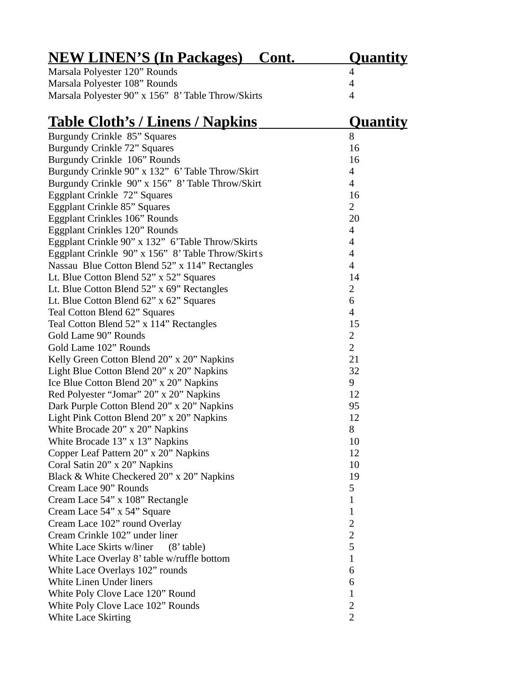| <u>NEW LINEN'S (In Packages)</u><br>Cont.          | <u>Quantity</u> |
|----------------------------------------------------|-----------------|
| Marsala Polyester 120" Rounds                      | 4               |
| Marsala Polyester 108" Rounds                      | 4               |
| Marsala Polyester 90" x 156" 8' Table Throw/Skirts | 4               |
| <u> Table Cloth's / Linens / Napkins</u>           | <u>Quantity</u> |
| Burgundy Crinkle 85" Squares                       | 8               |
| <b>Burgundy Crinkle 72" Squares</b>                | 16              |
| Burgundy Crinkle 106" Rounds                       | 16              |
| Burgundy Crinkle 90" x 132" 6' Table Throw/Skirt   | 4               |
| Burgundy Crinkle 90" x 156" 8' Table Throw/Skirt   | 4               |
| Eggplant Crinkle 72" Squares                       | 16              |
| <b>Eggplant Crinkle 85" Squares</b>                | $\overline{2}$  |
| <b>Eggplant Crinkles 106" Rounds</b>               | 20              |
| <b>Eggplant Crinkles 120" Rounds</b>               | 4               |
| Eggplant Crinkle 90" x 132" 6'Table Throw/Skirts   | 4               |
| Eggplant Crinkle 90" x 156" 8' Table Throw/Skirts  | 4               |
| Nassau Blue Cotton Blend 52" x 114" Rectangles     | 4               |
| Lt. Blue Cotton Blend 52" x 52" Squares            | 14              |
| Lt. Blue Cotton Blend 52" x 69" Rectangles         | 2               |
| Lt. Blue Cotton Blend 62" x 62" Squares            | 6               |
| Teal Cotton Blend 62" Squares                      | 4               |
| Teal Cotton Blend 52" x 114" Rectangles            | 15              |
| Gold Lame 90" Rounds                               | 2               |
| Gold Lame 102" Rounds                              | 2               |
| Kelly Green Cotton Blend 20" x 20" Napkins         | 21              |
| Light Blue Cotton Blend 20" x 20" Napkins          | 32              |
| Ice Blue Cotton Blend 20" x 20" Napkins            | 9               |
| Red Polyester "Jomar" 20" x 20" Napkins            | 12              |
| Dark Purple Cotton Blend 20" x 20" Napkins         | 95              |
| Light Pink Cotton Blend 20" x 20" Napkins          | 12              |
| White Brocade 20" x 20" Napkins                    | 8               |
| White Brocade 13" x 13" Napkins                    | 10              |
| Copper Leaf Pattern 20" x 20" Napkins              | 12              |
| Coral Satin 20" x 20" Napkins                      | 10              |
| Black & White Checkered 20" x 20" Napkins          | 19              |
| Cream Lace 90" Rounds                              | 5               |
| Cream Lace 54" x 108" Rectangle                    | $\mathbf{1}$    |
| Cream Lace 54" x 54" Square                        | $\mathbf{1}$    |
| Cream Lace 102" round Overlay                      | $\overline{2}$  |
| Cream Crinkle 102" under liner                     | 2               |
| White Lace Skirts w/liner<br>$(8'$ table)          | 5               |
| White Lace Overlay 8' table w/ruffle bottom        | 1               |
| White Lace Overlays 102" rounds                    | 6               |
| <b>White Linen Under liners</b>                    | 6               |
| White Poly Clove Lace 120" Round                   | $\mathbf{1}$    |
| White Poly Clove Lace 102" Rounds                  | $\overline{2}$  |
| <b>White Lace Skirting</b>                         | 2               |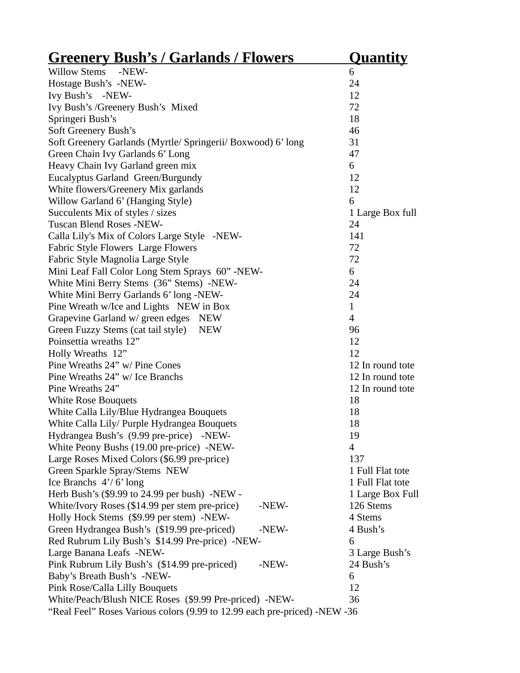| <u> Greenery Bush's / Garlands / Flowers</u>                              | <b>Quantity</b>  |
|---------------------------------------------------------------------------|------------------|
| Willow Stems -NEW-                                                        | 6                |
| Hostage Bush's -NEW-                                                      | 24               |
| Ivy Bush's -NEW-                                                          | 12               |
| Ivy Bush's /Greenery Bush's Mixed                                         | 72               |
| Springeri Bush's                                                          | 18               |
| Soft Greenery Bush's                                                      | 46               |
| Soft Greenery Garlands (Myrtle/ Springerii/ Boxwood) 6' long              | 31               |
| Green Chain Ivy Garlands 6' Long                                          | 47               |
| Heavy Chain Ivy Garland green mix                                         | 6                |
| Eucalyptus Garland Green/Burgundy                                         | 12               |
| White flowers/Greenery Mix garlands                                       | 12               |
| Willow Garland 6' (Hanging Style)                                         | 6                |
| Succulents Mix of styles / sizes                                          | 1 Large Box full |
| Tuscan Blend Roses -NEW-                                                  | 24               |
| Calla Lily's Mix of Colors Large Style -NEW-                              | 141              |
| Fabric Style Flowers Large Flowers                                        | 72               |
| Fabric Style Magnolia Large Style                                         | 72               |
| Mini Leaf Fall Color Long Stem Sprays 60" -NEW-                           | 6                |
| White Mini Berry Stems (36" Stems) -NEW-                                  | 24               |
| White Mini Berry Garlands 6' long -NEW-                                   | 24               |
| Pine Wreath w/Ice and Lights NEW in Box                                   | $\mathbf{1}$     |
| Grapevine Garland w/ green edges<br><b>NEW</b>                            | $\overline{4}$   |
| Green Fuzzy Stems (cat tail style)<br><b>NEW</b>                          | 96               |
| Poinsettia wreaths 12"                                                    | 12               |
| Holly Wreaths 12"                                                         | 12               |
| Pine Wreaths 24" w/ Pine Cones                                            | 12 In round tote |
| Pine Wreaths 24" w/ Ice Branchs                                           | 12 In round tote |
| Pine Wreaths 24"                                                          | 12 In round tote |
| <b>White Rose Bouquets</b>                                                | 18               |
| White Calla Lily/Blue Hydrangea Bouquets                                  | 18               |
| White Calla Lily/ Purple Hydrangea Bouquets                               | 18               |
| Hydrangea Bush's (9.99 pre-price) -NEW-                                   | 19               |
| White Peony Bushs (19.00 pre-price) -NEW-                                 | $\overline{4}$   |
| Large Roses Mixed Colors (\$6.99 pre-price)                               | 137              |
| Green Sparkle Spray/Stems NEW                                             | 1 Full Flat tote |
| Ice Branchs 4'/6' long                                                    | 1 Full Flat tote |
| Herb Bush's (\$9.99 to 24.99 per bush) -NEW -                             | 1 Large Box Full |
| White/Ivory Roses (\$14.99 per stem pre-price)<br>-NEW-                   | 126 Stems        |
| Holly Hock Stems (\$9.99 per stem) -NEW-                                  | 4 Stems          |
| Green Hydrangea Bush's (\$19.99 pre-priced)<br>-NEW-                      | 4 Bush's         |
| Red Rubrum Lily Bush's \$14.99 Pre-price) -NEW-                           | 6                |
| Large Banana Leafs -NEW-                                                  | 3 Large Bush's   |
| Pink Rubrum Lily Bush's (\$14.99 pre-priced)<br>-NEW-                     | 24 Bush's        |
| Baby's Breath Bush's -NEW-                                                | 6                |
| Pink Rose/Calla Lilly Bouquets                                            | 12               |
| White/Peach/Blush NICE Roses (\$9.99 Pre-priced) -NEW-                    | 36               |
| "Real Feel" Roses Various colors (9.99 to 12.99 each pre-priced) -NEW -36 |                  |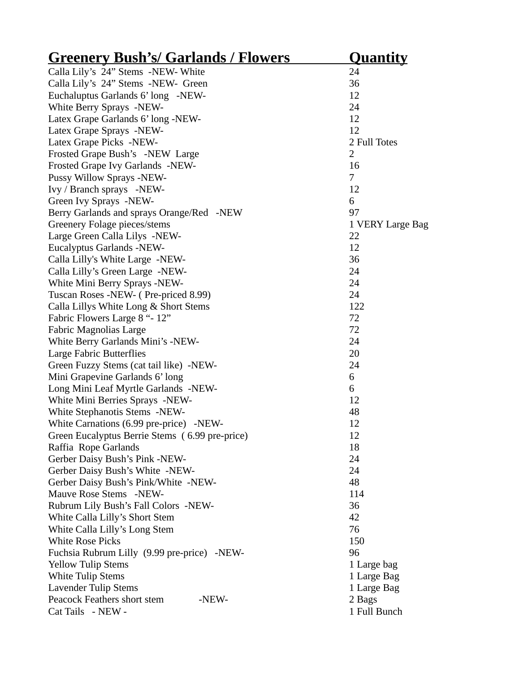| <b>Greenery Bush's/ Garlands / Flowers</b>     | <u>Quantity</u>  |
|------------------------------------------------|------------------|
| Calla Lily's 24" Stems -NEW- White             | 24               |
| Calla Lily's 24" Stems -NEW- Green             | 36               |
| Euchaluptus Garlands 6' long -NEW-             | 12               |
| White Berry Sprays -NEW-                       | 24               |
| Latex Grape Garlands 6' long -NEW-             | 12               |
| Latex Grape Sprays -NEW-                       | 12               |
| Latex Grape Picks -NEW-                        | 2 Full Totes     |
| Frosted Grape Bush's -NEW Large                | $\overline{2}$   |
| Frosted Grape Ivy Garlands -NEW-               | 16               |
| Pussy Willow Sprays -NEW-                      | 7                |
| Ivy / Branch sprays -NEW-                      | 12               |
| Green Ivy Sprays -NEW-                         | 6                |
| Berry Garlands and sprays Orange/Red -NEW      | 97               |
| Greenery Folage pieces/stems                   | 1 VERY Large Bag |
| Large Green Calla Lilys -NEW-                  | 22               |
| <b>Eucalyptus Garlands -NEW-</b>               | 12               |
| Calla Lilly's White Large -NEW-                | 36               |
| Calla Lilly's Green Large -NEW-                | 24               |
| White Mini Berry Sprays -NEW-                  | 24               |
| Tuscan Roses -NEW- (Pre-priced 8.99)           | 24               |
| Calla Lillys White Long & Short Stems          | 122              |
| Fabric Flowers Large 8 "- 12"                  | 72               |
| Fabric Magnolias Large                         | 72               |
| White Berry Garlands Mini's -NEW-              | 24               |
| <b>Large Fabric Butterflies</b>                | 20               |
| Green Fuzzy Stems (cat tail like) -NEW-        | 24               |
| Mini Grapevine Garlands 6' long                | 6                |
| Long Mini Leaf Myrtle Garlands -NEW-           | 6                |
| White Mini Berries Sprays -NEW-                | 12               |
| White Stephanotis Stems -NEW-                  | 48               |
| White Carnations (6.99 pre-price) -NEW-        | 12               |
| Green Eucalyptus Berrie Stems (6.99 pre-price) | 12               |
| Raffia Rope Garlands                           | 18               |
| Gerber Daisy Bush's Pink -NEW-                 | 24               |
| Gerber Daisy Bush's White -NEW-                | 24               |
| Gerber Daisy Bush's Pink/White -NEW-           | 48               |
| Mauve Rose Stems -NEW-                         | 114              |
| Rubrum Lily Bush's Fall Colors -NEW-           | 36               |
| White Calla Lilly's Short Stem                 | 42               |
| White Calla Lilly's Long Stem                  | 76               |
| <b>White Rose Picks</b>                        | 150              |
| Fuchsia Rubrum Lilly (9.99 pre-price) -NEW-    | 96               |
| <b>Yellow Tulip Stems</b>                      | 1 Large bag      |
| <b>White Tulip Stems</b>                       | 1 Large Bag      |
| <b>Lavender Tulip Stems</b>                    | 1 Large Bag      |
| Peacock Feathers short stem<br>-NEW-           | 2 Bags           |
| Cat Tails - NEW -                              | 1 Full Bunch     |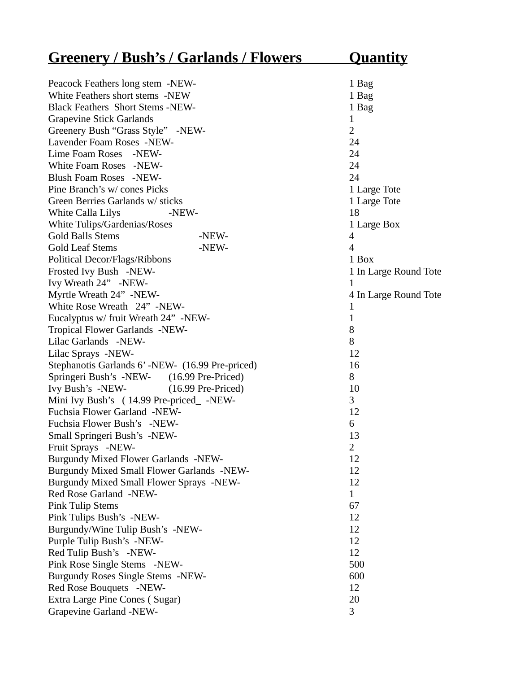| <b>Greenery / Bush's / Garlands / Flowers</b>   | <u>Quantity</u>       |
|-------------------------------------------------|-----------------------|
| Peacock Feathers long stem -NEW-                | 1 Bag                 |
| White Feathers short stems -NEW                 | 1 Bag                 |
| <b>Black Feathers Short Stems -NEW-</b>         | 1 Bag                 |
| <b>Grapevine Stick Garlands</b>                 | $\mathbf{1}$          |
| Greenery Bush "Grass Style" -NEW-               | $\overline{2}$        |
| Lavender Foam Roses -NEW-                       | 24                    |
| Lime Foam Roses -NEW-                           | 24                    |
| White Foam Roses -NEW-                          | 24                    |
| Blush Foam Roses -NEW-                          | 24                    |
| Pine Branch's w/ cones Picks                    | 1 Large Tote          |
| Green Berries Garlands w/ sticks                | 1 Large Tote          |
| White Calla Lilys<br>-NEW-                      | 18                    |
| White Tulips/Gardenias/Roses                    | 1 Large Box           |
| <b>Gold Balls Stems</b><br>-NEW-                | 4                     |
| <b>Gold Leaf Stems</b><br>-NEW-                 | 4                     |
| Political Decor/Flags/Ribbons                   | 1 Box                 |
| Frosted Ivy Bush -NEW-                          | 1 In Large Round Tote |
| Ivy Wreath 24" -NEW-                            | $\mathbf{1}$          |
| Myrtle Wreath 24" -NEW-                         | 4 In Large Round Tote |
| White Rose Wreath 24" -NEW-                     | $\mathbf{1}$          |
| Eucalyptus w/ fruit Wreath 24" -NEW-            | $\mathbf{1}$          |
| Tropical Flower Garlands -NEW-                  | 8                     |
| Lilac Garlands -NEW-                            | 8                     |
| Lilac Sprays -NEW-                              | 12                    |
| Stephanotis Garlands 6'-NEW- (16.99 Pre-priced) | 16                    |
| Springeri Bush's -NEW- (16.99 Pre-Priced)       | 8                     |
| Ivy Bush's -NEW-<br>$(16.99$ Pre-Priced)        | 10                    |
| Mini Ivy Bush's (14.99 Pre-priced_-NEW-         | 3                     |
| Fuchsia Flower Garland -NEW-                    | 12                    |
| Fuchsia Flower Bush's -NEW-                     | 6                     |
| Small Springeri Bush's -NEW-                    | 13                    |
| Fruit Sprays -NEW-                              | $\overline{2}$        |
| Burgundy Mixed Flower Garlands -NEW-            | 12                    |
| Burgundy Mixed Small Flower Garlands -NEW-      | 12                    |
| Burgundy Mixed Small Flower Sprays -NEW-        | 12                    |
| Red Rose Garland -NEW-                          | $\mathbf{1}$          |
| <b>Pink Tulip Stems</b>                         | 67                    |
| Pink Tulips Bush's -NEW-                        | 12                    |
| Burgundy/Wine Tulip Bush's -NEW-                | 12                    |
| Purple Tulip Bush's -NEW-                       | 12                    |
| Red Tulip Bush's -NEW-                          | 12                    |
| Pink Rose Single Stems -NEW-                    | 500                   |
| Burgundy Roses Single Stems -NEW-               | 600                   |
| Red Rose Bouquets -NEW-                         | 12                    |
| Extra Large Pine Cones (Sugar)                  | 20                    |
| Grapevine Garland -NEW-                         | 3                     |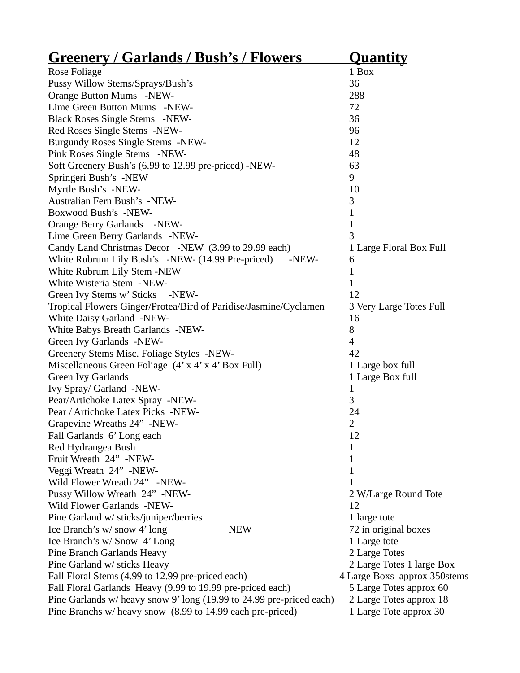| <u>Greenery / Garlands / Bush's / Flowers</u>                        | <b>Quantity</b>              |
|----------------------------------------------------------------------|------------------------------|
| Rose Foliage                                                         | 1 Box                        |
| Pussy Willow Stems/Sprays/Bush's                                     | 36                           |
| Orange Button Mums -NEW-                                             | 288                          |
| Lime Green Button Mums -NEW-                                         | 72                           |
| Black Roses Single Stems -NEW-                                       | 36                           |
| Red Roses Single Stems -NEW-                                         | 96                           |
| Burgundy Roses Single Stems -NEW-                                    | 12                           |
| Pink Roses Single Stems -NEW-                                        | 48                           |
| Soft Greenery Bush's (6.99 to 12.99 pre-priced) -NEW-                | 63                           |
| Springeri Bush's -NEW                                                | 9                            |
| Myrtle Bush's -NEW-                                                  | 10                           |
| Australian Fern Bush's -NEW-                                         | 3                            |
| Boxwood Bush's -NEW-                                                 | 1                            |
| Orange Berry Garlands -NEW-                                          | $\mathbf 1$                  |
| Lime Green Berry Garlands -NEW-                                      | 3                            |
| Candy Land Christmas Decor -NEW (3.99 to 29.99 each)                 | 1 Large Floral Box Full      |
| White Rubrum Lily Bush's -NEW- (14.99 Pre-priced)<br>-NEW-           | 6                            |
| White Rubrum Lily Stem -NEW                                          | 1                            |
| White Wisteria Stem -NEW-                                            | $\mathbf{1}$                 |
| Green Ivy Stems w' Sticks -NEW-                                      | 12                           |
| Tropical Flowers Ginger/Protea/Bird of Paridise/Jasmine/Cyclamen     | 3 Very Large Totes Full      |
| White Daisy Garland -NEW-                                            | 16                           |
| White Babys Breath Garlands -NEW-                                    | 8                            |
| Green Ivy Garlands -NEW-                                             | $\overline{4}$               |
| Greenery Stems Misc. Foliage Styles -NEW-                            | 42                           |
| Miscellaneous Green Foliage (4' x 4' x 4' Box Full)                  | 1 Large box full             |
| <b>Green Ivy Garlands</b>                                            | 1 Large Box full             |
| Ivy Spray/ Garland -NEW-                                             | 1                            |
| Pear/Artichoke Latex Spray -NEW-                                     | 3                            |
| Pear / Artichoke Latex Picks -NEW-                                   | 24                           |
| Grapevine Wreaths 24" -NEW-                                          | $\overline{2}$               |
| Fall Garlands 6' Long each                                           | 12                           |
| Red Hydrangea Bush                                                   | 1                            |
| Fruit Wreath 24" -NEW-                                               | 1                            |
| Veggi Wreath 24" -NEW-                                               | 1                            |
| Wild Flower Wreath 24" -NEW-                                         | 1                            |
| Pussy Willow Wreath 24" -NEW-                                        | 2 W/Large Round Tote         |
| Wild Flower Garlands -NEW-                                           | 12                           |
| Pine Garland w/ sticks/juniper/berries                               | 1 large tote                 |
| <b>NEW</b><br>Ice Branch's w/snow 4' long                            | 72 in original boxes         |
| Ice Branch's w/ Snow 4' Long                                         | 1 Large tote                 |
| Pine Branch Garlands Heavy                                           | 2 Large Totes                |
| Pine Garland w/ sticks Heavy                                         | 2 Large Totes 1 large Box    |
| Fall Floral Stems (4.99 to 12.99 pre-priced each)                    | 4 Large Boxs approx 350stems |
| Fall Floral Garlands Heavy (9.99 to 19.99 pre-priced each)           | 5 Large Totes approx 60      |
| Pine Garlands w/ heavy snow 9' long (19.99 to 24.99 pre-priced each) | 2 Large Totes approx 18      |
| Pine Branchs w/ heavy snow (8.99 to 14.99 each pre-priced)           | 1 Large Tote approx 30       |
|                                                                      |                              |